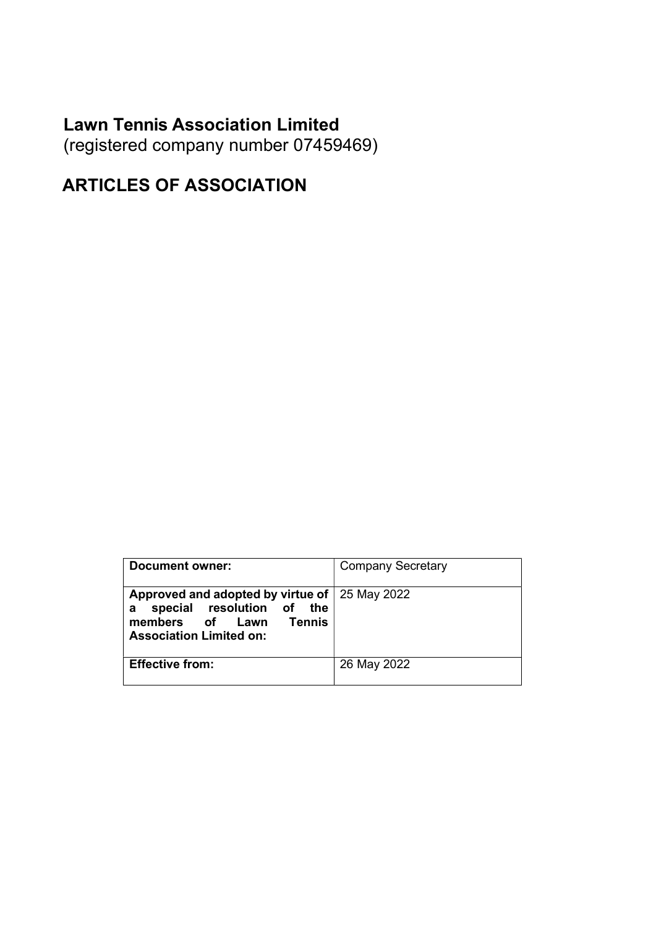# Lawn Tennis Association Limited

(registered company number 07459469)

# ARTICLES OF ASSOCIATION

| Document owner:                                                                                                                                | <b>Company Secretary</b> |
|------------------------------------------------------------------------------------------------------------------------------------------------|--------------------------|
| Approved and adopted by virtue of 25 May 2022<br>special resolution of the<br>a<br>Tennis<br>members of Lawn<br><b>Association Limited on:</b> |                          |
| <b>Effective from:</b>                                                                                                                         | 26 May 2022              |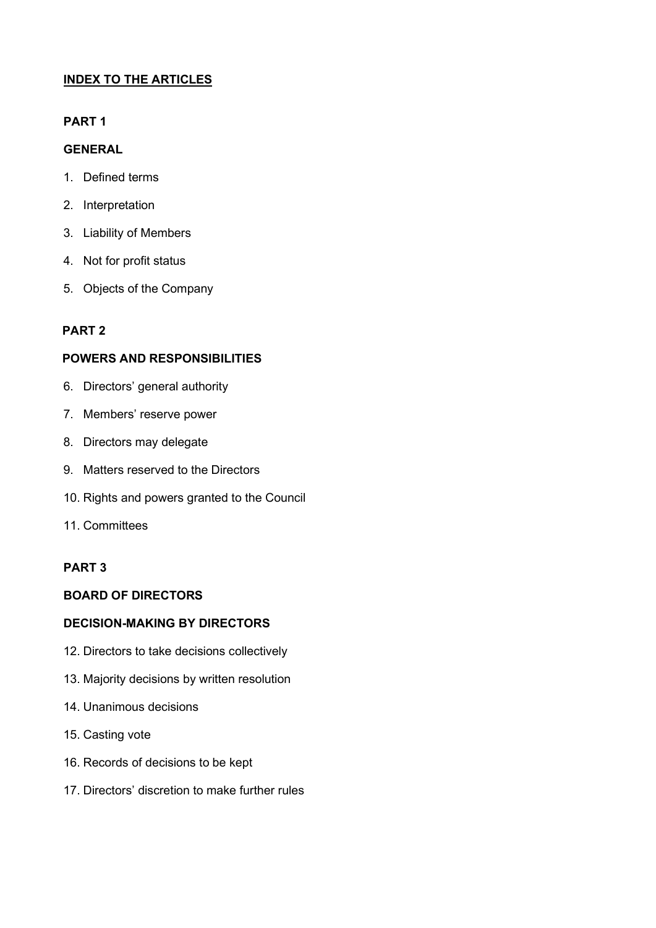# INDEX TO THE ARTICLES

# PART 1

# GENERAL

- 1. Defined terms
- 2. Interpretation
- 3. Liability of Members
- 4. Not for profit status
- 5. Objects of the Company

# PART 2

# POWERS AND RESPONSIBILITIES

- 6. Directors' general authority
- 7. Members' reserve power
- 8. Directors may delegate
- 9. Matters reserved to the Directors
- 10. Rights and powers granted to the Council
- 11. Committees

# PART 3

# BOARD OF DIRECTORS

# DECISION-MAKING BY DIRECTORS

- 12. Directors to take decisions collectively
- 13. Majority decisions by written resolution
- 14. Unanimous decisions
- 15. Casting vote
- 16. Records of decisions to be kept
- 17. Directors' discretion to make further rules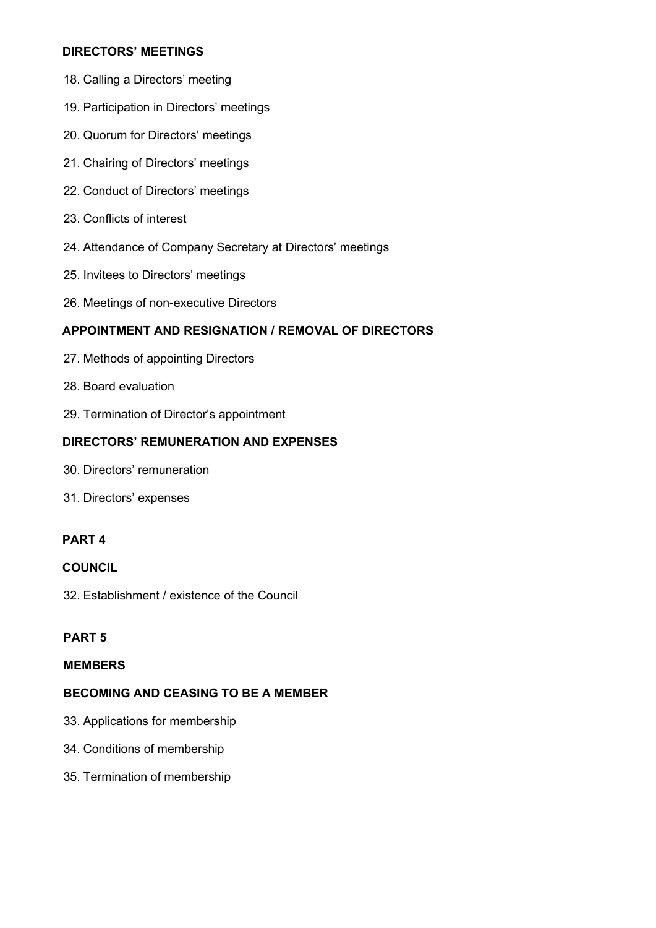# DIRECTORS' MEETINGS

- 18. Calling a Directors' meeting
- 19. Participation in Directors' meetings
- 20. Quorum for Directors' meetings
- 21. Chairing of Directors' meetings
- 22. Conduct of Directors' meetings
- 23. Conflicts of interest
- 24. Attendance of Company Secretary at Directors' meetings
- 25. Invitees to Directors' meetings
- 26. Meetings of non-executive Directors

# APPOINTMENT AND RESIGNATION / REMOVAL OF DIRECTORS

- 27. Methods of appointing Directors
- 28. Board evaluation
- 29. Termination of Director's appointment

# DIRECTORS' REMUNERATION AND EXPENSES

- 30. Directors' remuneration
- 31. Directors' expenses

# PART 4

# **COUNCIL**

32. Establishment / existence of the Council

# PART 5

# MEMBERS

# BECOMING AND CEASING TO BE A MEMBER

- 33. Applications for membership
- 34. Conditions of membership
- 35. Termination of membership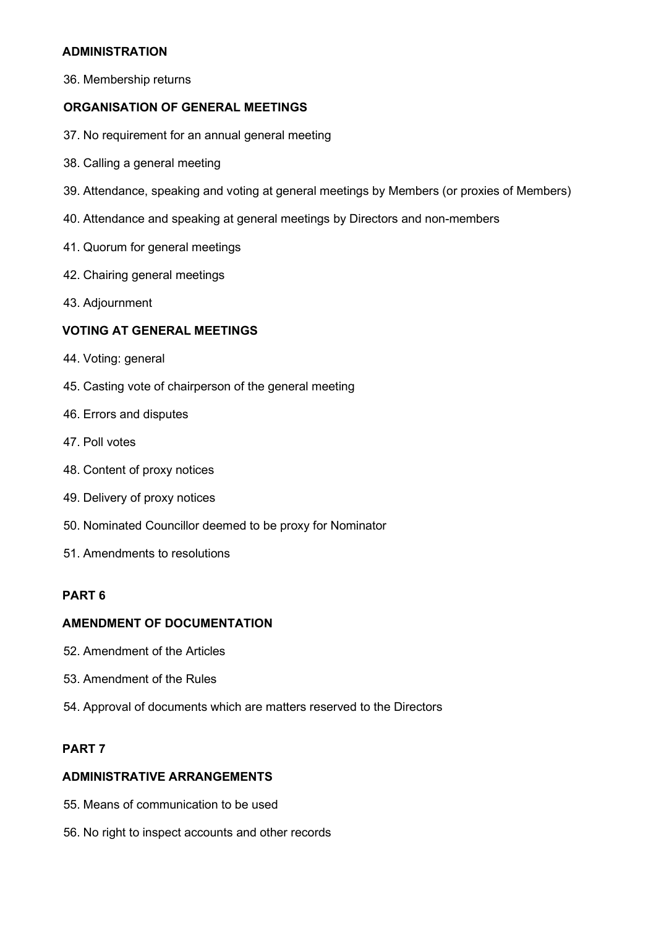# ADMINISTRATION

36. Membership returns

# ORGANISATION OF GENERAL MEETINGS

- 37. No requirement for an annual general meeting
- 38. Calling a general meeting
- 39. Attendance, speaking and voting at general meetings by Members (or proxies of Members)
- 40. Attendance and speaking at general meetings by Directors and non-members
- 41. Quorum for general meetings
- 42. Chairing general meetings
- 43. Adjournment

# VOTING AT GENERAL MEETINGS

- 44. Voting: general
- 45. Casting vote of chairperson of the general meeting
- 46. Errors and disputes
- 47. Poll votes
- 48. Content of proxy notices
- 49. Delivery of proxy notices
- 50. Nominated Councillor deemed to be proxy for Nominator
- 51. Amendments to resolutions

# PART 6

### AMENDMENT OF DOCUMENTATION

- 52. Amendment of the Articles
- 53. Amendment of the Rules
- 54. Approval of documents which are matters reserved to the Directors

# PART 7

#### ADMINISTRATIVE ARRANGEMENTS

- 55. Means of communication to be used
- 56. No right to inspect accounts and other records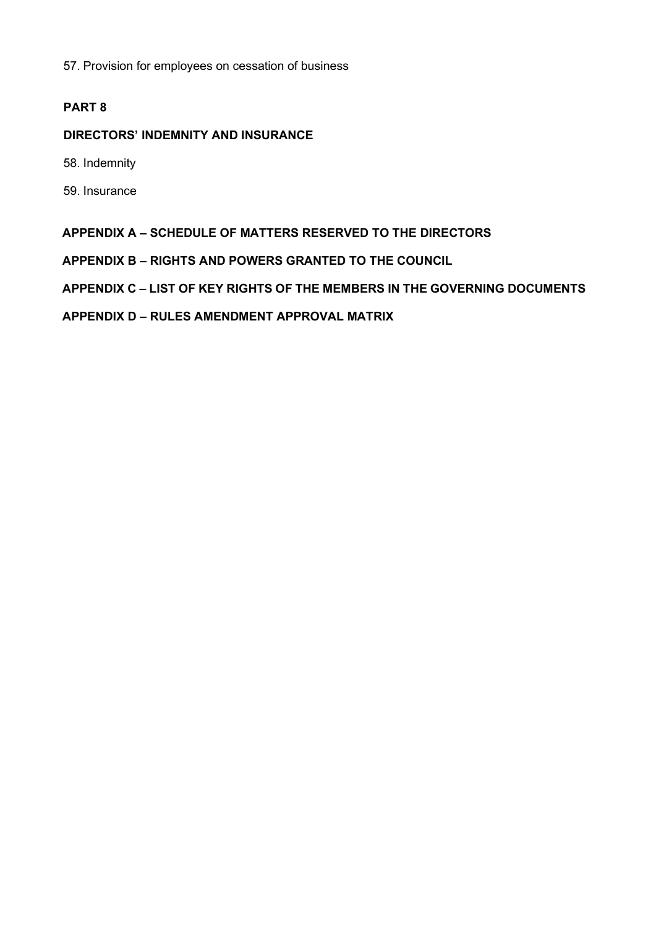57. Provision for employees on cessation of business

# PART 8

# DIRECTORS' INDEMNITY AND INSURANCE

58. Indemnity

59. Insurance

### APPENDIX A – SCHEDULE OF MATTERS RESERVED TO THE DIRECTORS

APPENDIX B – RIGHTS AND POWERS GRANTED TO THE COUNCIL

APPENDIX C – LIST OF KEY RIGHTS OF THE MEMBERS IN THE GOVERNING DOCUMENTS

APPENDIX D – RULES AMENDMENT APPROVAL MATRIX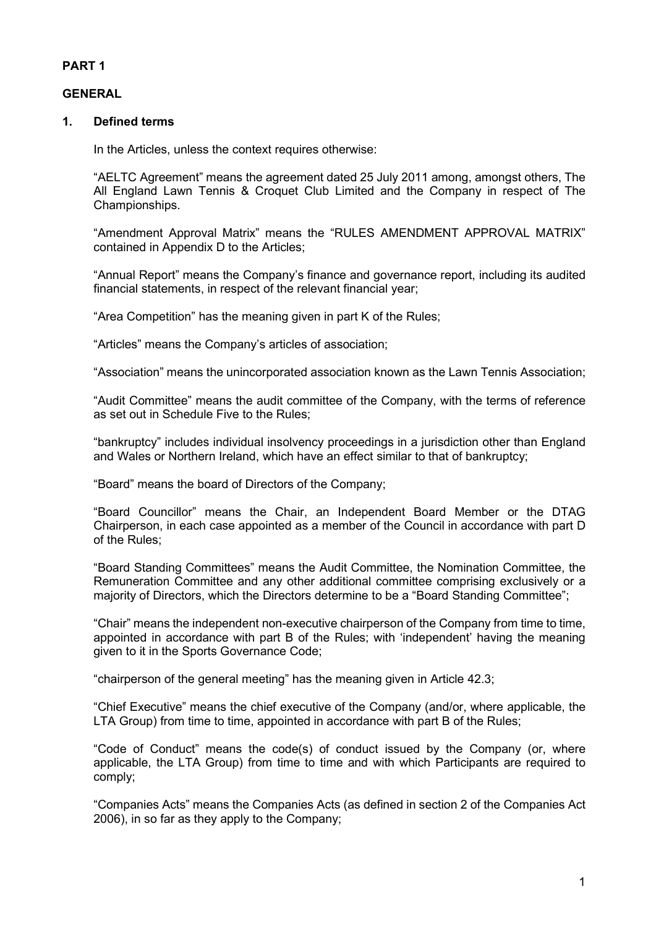# PART 1

# **GENERAL**

# 1. Defined terms

In the Articles, unless the context requires otherwise:

"AELTC Agreement" means the agreement dated 25 July 2011 among, amongst others, The All England Lawn Tennis & Croquet Club Limited and the Company in respect of The Championships.

"Amendment Approval Matrix" means the "RULES AMENDMENT APPROVAL MATRIX" contained in Appendix D to the Articles;

"Annual Report" means the Company's finance and governance report, including its audited financial statements, in respect of the relevant financial year;

"Area Competition" has the meaning given in part K of the Rules;

"Articles" means the Company's articles of association;

"Association" means the unincorporated association known as the Lawn Tennis Association;

"Audit Committee" means the audit committee of the Company, with the terms of reference as set out in Schedule Five to the Rules;

"bankruptcy" includes individual insolvency proceedings in a jurisdiction other than England and Wales or Northern Ireland, which have an effect similar to that of bankruptcy;

"Board" means the board of Directors of the Company;

"Board Councillor" means the Chair, an Independent Board Member or the DTAG Chairperson, in each case appointed as a member of the Council in accordance with part D of the Rules;

"Board Standing Committees" means the Audit Committee, the Nomination Committee, the Remuneration Committee and any other additional committee comprising exclusively or a majority of Directors, which the Directors determine to be a "Board Standing Committee";

"Chair" means the independent non-executive chairperson of the Company from time to time, appointed in accordance with part B of the Rules; with 'independent' having the meaning given to it in the Sports Governance Code;

"chairperson of the general meeting" has the meaning given in Article 42.3;

"Chief Executive" means the chief executive of the Company (and/or, where applicable, the LTA Group) from time to time, appointed in accordance with part B of the Rules;

"Code of Conduct" means the code(s) of conduct issued by the Company (or, where applicable, the LTA Group) from time to time and with which Participants are required to comply;

"Companies Acts" means the Companies Acts (as defined in section 2 of the Companies Act 2006), in so far as they apply to the Company;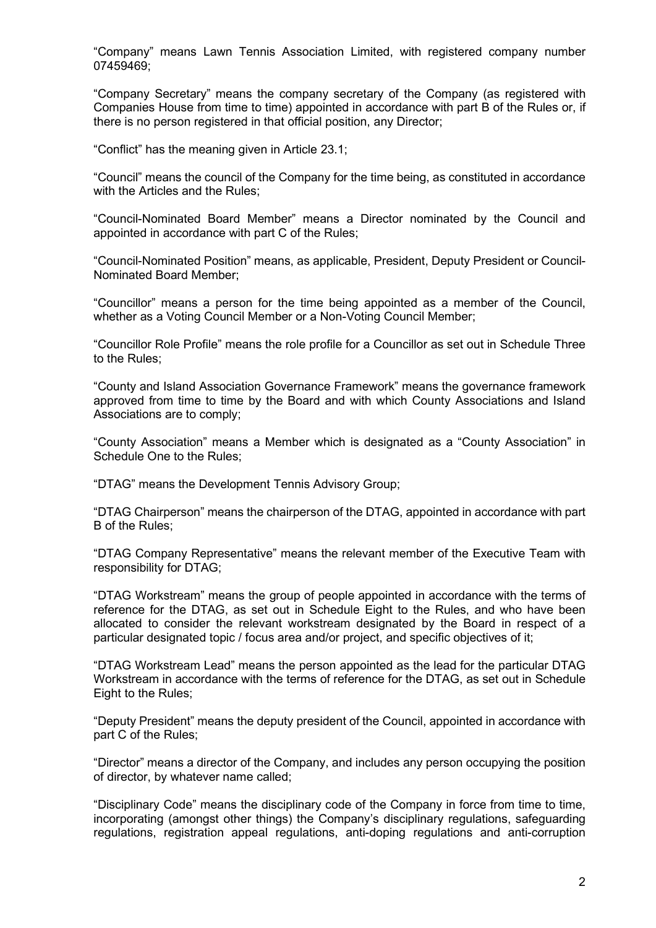"Company" means Lawn Tennis Association Limited, with registered company number 07459469;

"Company Secretary" means the company secretary of the Company (as registered with Companies House from time to time) appointed in accordance with part B of the Rules or, if there is no person registered in that official position, any Director;

"Conflict" has the meaning given in Article 23.1;

"Council" means the council of the Company for the time being, as constituted in accordance with the Articles and the Rules;

"Council-Nominated Board Member" means a Director nominated by the Council and appointed in accordance with part C of the Rules;

"Council-Nominated Position" means, as applicable, President, Deputy President or Council-Nominated Board Member;

"Councillor" means a person for the time being appointed as a member of the Council, whether as a Voting Council Member or a Non-Voting Council Member;

"Councillor Role Profile" means the role profile for a Councillor as set out in Schedule Three to the Rules;

"County and Island Association Governance Framework" means the governance framework approved from time to time by the Board and with which County Associations and Island Associations are to comply;

"County Association" means a Member which is designated as a "County Association" in Schedule One to the Rules;

"DTAG" means the Development Tennis Advisory Group;

"DTAG Chairperson" means the chairperson of the DTAG, appointed in accordance with part B of the Rules;

"DTAG Company Representative" means the relevant member of the Executive Team with responsibility for DTAG;

"DTAG Workstream" means the group of people appointed in accordance with the terms of reference for the DTAG, as set out in Schedule Eight to the Rules, and who have been allocated to consider the relevant workstream designated by the Board in respect of a particular designated topic / focus area and/or project, and specific objectives of it;

"DTAG Workstream Lead" means the person appointed as the lead for the particular DTAG Workstream in accordance with the terms of reference for the DTAG, as set out in Schedule Eight to the Rules;

"Deputy President" means the deputy president of the Council, appointed in accordance with part C of the Rules;

"Director" means a director of the Company, and includes any person occupying the position of director, by whatever name called;

"Disciplinary Code" means the disciplinary code of the Company in force from time to time, incorporating (amongst other things) the Company's disciplinary regulations, safeguarding regulations, registration appeal regulations, anti-doping regulations and anti-corruption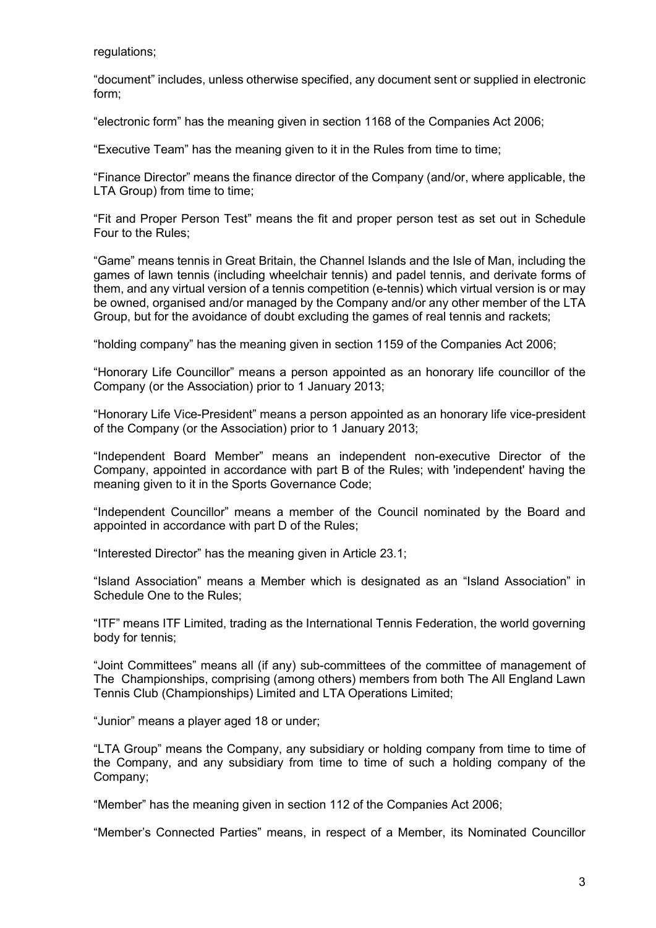regulations;

"document" includes, unless otherwise specified, any document sent or supplied in electronic form;

"electronic form" has the meaning given in section 1168 of the Companies Act 2006;

"Executive Team" has the meaning given to it in the Rules from time to time;

"Finance Director" means the finance director of the Company (and/or, where applicable, the LTA Group) from time to time;

"Fit and Proper Person Test" means the fit and proper person test as set out in Schedule Four to the Rules;

"Game" means tennis in Great Britain, the Channel Islands and the Isle of Man, including the games of lawn tennis (including wheelchair tennis) and padel tennis, and derivate forms of them, and any virtual version of a tennis competition (e-tennis) which virtual version is or may be owned, organised and/or managed by the Company and/or any other member of the LTA Group, but for the avoidance of doubt excluding the games of real tennis and rackets;

"holding company" has the meaning given in section 1159 of the Companies Act 2006;

"Honorary Life Councillor" means a person appointed as an honorary life councillor of the Company (or the Association) prior to 1 January 2013;

"Honorary Life Vice-President" means a person appointed as an honorary life vice-president of the Company (or the Association) prior to 1 January 2013;

"Independent Board Member" means an independent non-executive Director of the Company, appointed in accordance with part B of the Rules; with 'independent' having the meaning given to it in the Sports Governance Code;

"Independent Councillor" means a member of the Council nominated by the Board and appointed in accordance with part D of the Rules;

"Interested Director" has the meaning given in Article 23.1;

"Island Association" means a Member which is designated as an "Island Association" in Schedule One to the Rules;

"ITF" means ITF Limited, trading as the International Tennis Federation, the world governing body for tennis;

"Joint Committees" means all (if any) sub-committees of the committee of management of The Championships, comprising (among others) members from both The All England Lawn Tennis Club (Championships) Limited and LTA Operations Limited;

"Junior" means a player aged 18 or under;

"LTA Group" means the Company, any subsidiary or holding company from time to time of the Company, and any subsidiary from time to time of such a holding company of the Company;

"Member" has the meaning given in section 112 of the Companies Act 2006;

"Member's Connected Parties" means, in respect of a Member, its Nominated Councillor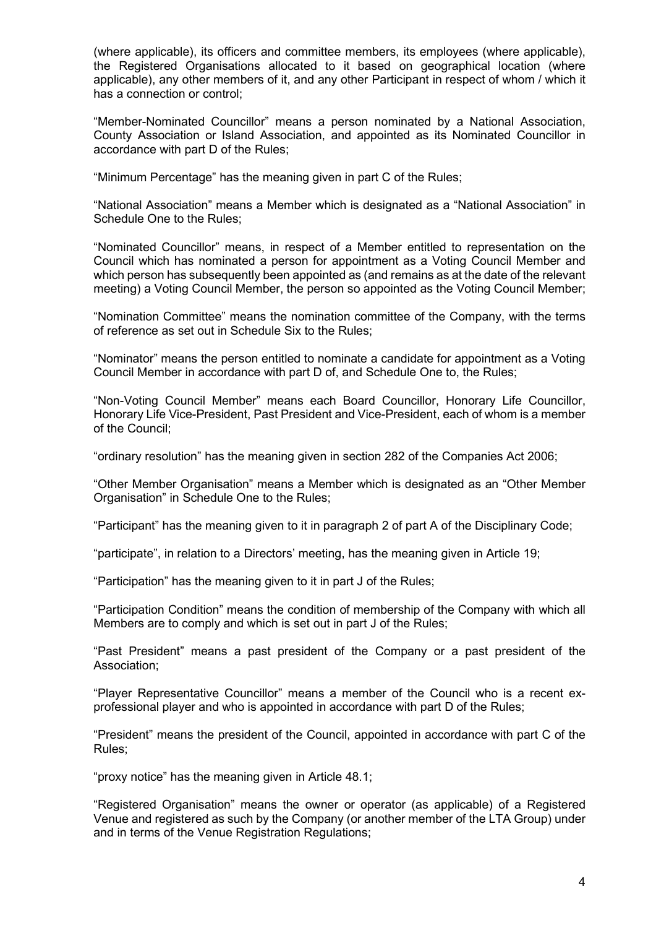(where applicable), its officers and committee members, its employees (where applicable), the Registered Organisations allocated to it based on geographical location (where applicable), any other members of it, and any other Participant in respect of whom / which it has a connection or control;

"Member-Nominated Councillor" means a person nominated by a National Association, County Association or Island Association, and appointed as its Nominated Councillor in accordance with part D of the Rules;

"Minimum Percentage" has the meaning given in part C of the Rules;

"National Association" means a Member which is designated as a "National Association" in Schedule One to the Rules;

"Nominated Councillor" means, in respect of a Member entitled to representation on the Council which has nominated a person for appointment as a Voting Council Member and which person has subsequently been appointed as (and remains as at the date of the relevant meeting) a Voting Council Member, the person so appointed as the Voting Council Member;

"Nomination Committee" means the nomination committee of the Company, with the terms of reference as set out in Schedule Six to the Rules;

"Nominator" means the person entitled to nominate a candidate for appointment as a Voting Council Member in accordance with part D of, and Schedule One to, the Rules;

"Non-Voting Council Member" means each Board Councillor, Honorary Life Councillor, Honorary Life Vice-President, Past President and Vice-President, each of whom is a member of the Council;

"ordinary resolution" has the meaning given in section 282 of the Companies Act 2006;

"Other Member Organisation" means a Member which is designated as an "Other Member Organisation" in Schedule One to the Rules;

"Participant" has the meaning given to it in paragraph 2 of part A of the Disciplinary Code;

"participate", in relation to a Directors' meeting, has the meaning given in Article 19;

"Participation" has the meaning given to it in part J of the Rules;

"Participation Condition" means the condition of membership of the Company with which all Members are to comply and which is set out in part J of the Rules;

"Past President" means a past president of the Company or a past president of the Association;

"Player Representative Councillor" means a member of the Council who is a recent exprofessional player and who is appointed in accordance with part D of the Rules;

"President" means the president of the Council, appointed in accordance with part C of the Rules;

"proxy notice" has the meaning given in Article 48.1;

"Registered Organisation" means the owner or operator (as applicable) of a Registered Venue and registered as such by the Company (or another member of the LTA Group) under and in terms of the Venue Registration Regulations;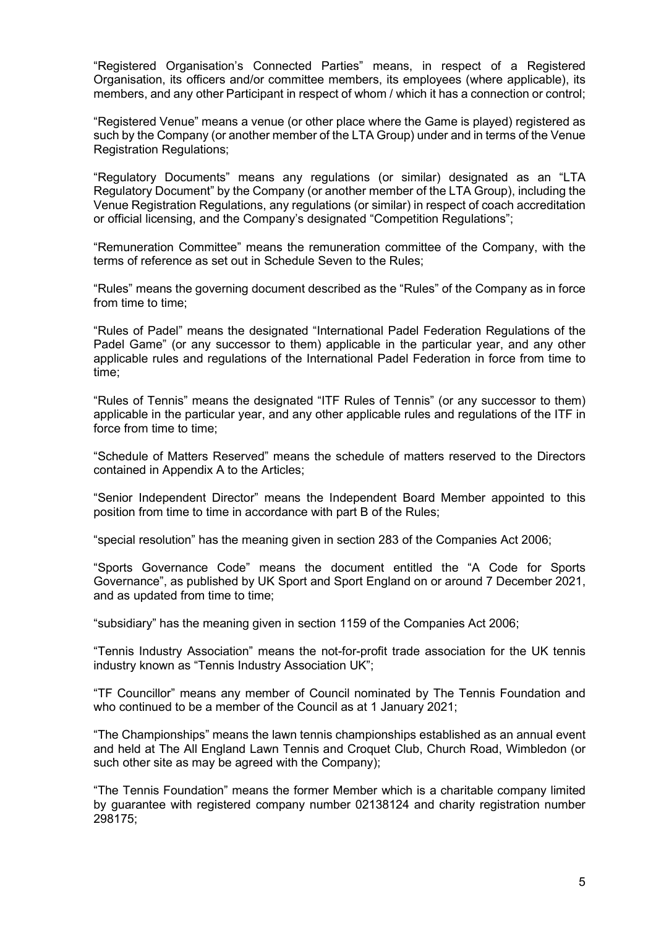"Registered Organisation's Connected Parties" means, in respect of a Registered Organisation, its officers and/or committee members, its employees (where applicable), its members, and any other Participant in respect of whom / which it has a connection or control;

"Registered Venue" means a venue (or other place where the Game is played) registered as such by the Company (or another member of the LTA Group) under and in terms of the Venue Registration Regulations;

"Regulatory Documents" means any regulations (or similar) designated as an "LTA Regulatory Document" by the Company (or another member of the LTA Group), including the Venue Registration Regulations, any regulations (or similar) in respect of coach accreditation or official licensing, and the Company's designated "Competition Regulations";

"Remuneration Committee" means the remuneration committee of the Company, with the terms of reference as set out in Schedule Seven to the Rules;

"Rules" means the governing document described as the "Rules" of the Company as in force from time to time;

"Rules of Padel" means the designated "International Padel Federation Regulations of the Padel Game" (or any successor to them) applicable in the particular year, and any other applicable rules and regulations of the International Padel Federation in force from time to time;

"Rules of Tennis" means the designated "ITF Rules of Tennis" (or any successor to them) applicable in the particular year, and any other applicable rules and regulations of the ITF in force from time to time;

"Schedule of Matters Reserved" means the schedule of matters reserved to the Directors contained in Appendix A to the Articles;

"Senior Independent Director" means the Independent Board Member appointed to this position from time to time in accordance with part B of the Rules;

"special resolution" has the meaning given in section 283 of the Companies Act 2006;

"Sports Governance Code" means the document entitled the "A Code for Sports Governance", as published by UK Sport and Sport England on or around 7 December 2021, and as updated from time to time;

"subsidiary" has the meaning given in section 1159 of the Companies Act 2006;

"Tennis Industry Association" means the not-for-profit trade association for the UK tennis industry known as "Tennis Industry Association UK";

"TF Councillor" means any member of Council nominated by The Tennis Foundation and who continued to be a member of the Council as at 1 January 2021;

"The Championships" means the lawn tennis championships established as an annual event and held at The All England Lawn Tennis and Croquet Club, Church Road, Wimbledon (or such other site as may be agreed with the Company);

"The Tennis Foundation" means the former Member which is a charitable company limited by guarantee with registered company number 02138124 and charity registration number 298175;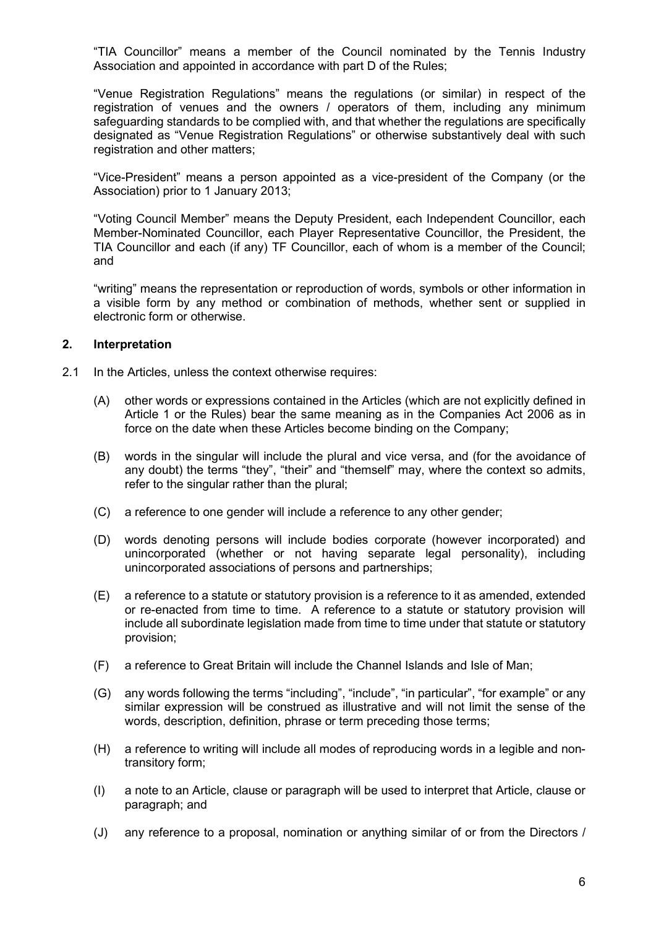"TIA Councillor" means a member of the Council nominated by the Tennis Industry Association and appointed in accordance with part D of the Rules;

"Venue Registration Regulations" means the regulations (or similar) in respect of the registration of venues and the owners / operators of them, including any minimum safeguarding standards to be complied with, and that whether the regulations are specifically designated as "Venue Registration Regulations" or otherwise substantively deal with such registration and other matters;

"Vice-President" means a person appointed as a vice-president of the Company (or the Association) prior to 1 January 2013;

"Voting Council Member" means the Deputy President, each Independent Councillor, each Member-Nominated Councillor, each Player Representative Councillor, the President, the TIA Councillor and each (if any) TF Councillor, each of whom is a member of the Council; and

"writing" means the representation or reproduction of words, symbols or other information in a visible form by any method or combination of methods, whether sent or supplied in electronic form or otherwise.

### 2. Interpretation

- 2.1 In the Articles, unless the context otherwise requires:
	- (A) other words or expressions contained in the Articles (which are not explicitly defined in Article 1 or the Rules) bear the same meaning as in the Companies Act 2006 as in force on the date when these Articles become binding on the Company;
	- (B) words in the singular will include the plural and vice versa, and (for the avoidance of any doubt) the terms "they", "their" and "themself" may, where the context so admits, refer to the singular rather than the plural;
	- (C) a reference to one gender will include a reference to any other gender;
	- (D) words denoting persons will include bodies corporate (however incorporated) and unincorporated (whether or not having separate legal personality), including unincorporated associations of persons and partnerships;
	- (E) a reference to a statute or statutory provision is a reference to it as amended, extended or re-enacted from time to time. A reference to a statute or statutory provision will include all subordinate legislation made from time to time under that statute or statutory provision;
	- (F) a reference to Great Britain will include the Channel Islands and Isle of Man;
	- (G) any words following the terms "including", "include", "in particular", "for example" or any similar expression will be construed as illustrative and will not limit the sense of the words, description, definition, phrase or term preceding those terms;
	- (H) a reference to writing will include all modes of reproducing words in a legible and nontransitory form;
	- (I) a note to an Article, clause or paragraph will be used to interpret that Article, clause or paragraph; and
	- (J) any reference to a proposal, nomination or anything similar of or from the Directors /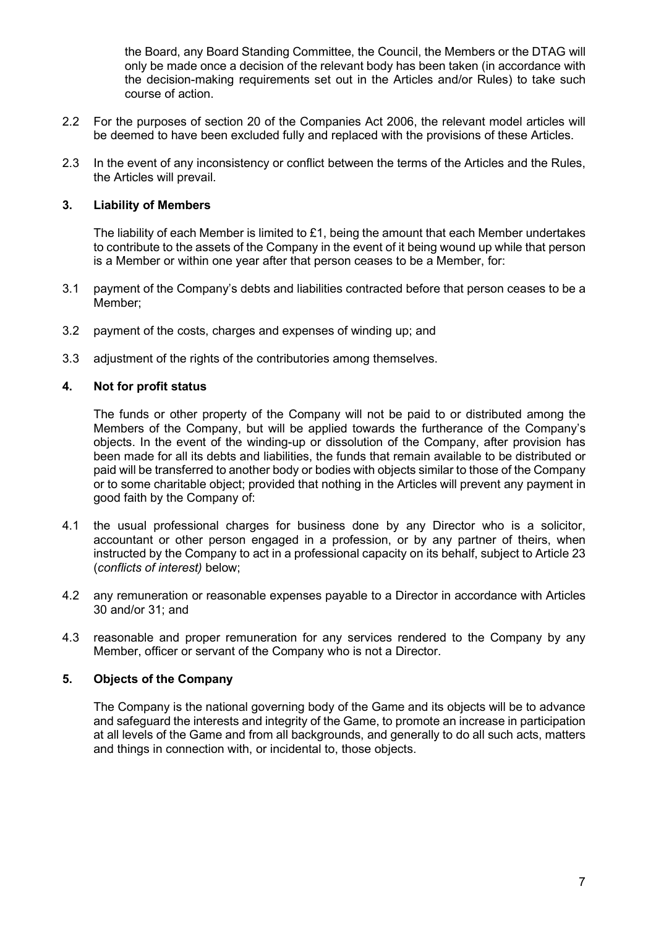the Board, any Board Standing Committee, the Council, the Members or the DTAG will only be made once a decision of the relevant body has been taken (in accordance with the decision-making requirements set out in the Articles and/or Rules) to take such course of action.

- 2.2 For the purposes of section 20 of the Companies Act 2006, the relevant model articles will be deemed to have been excluded fully and replaced with the provisions of these Articles.
- 2.3 In the event of any inconsistency or conflict between the terms of the Articles and the Rules, the Articles will prevail.

# 3. Liability of Members

The liability of each Member is limited to £1, being the amount that each Member undertakes to contribute to the assets of the Company in the event of it being wound up while that person is a Member or within one year after that person ceases to be a Member, for:

- 3.1 payment of the Company's debts and liabilities contracted before that person ceases to be a Member;
- 3.2 payment of the costs, charges and expenses of winding up; and
- 3.3 adjustment of the rights of the contributories among themselves.

### 4. Not for profit status

The funds or other property of the Company will not be paid to or distributed among the Members of the Company, but will be applied towards the furtherance of the Company's objects. In the event of the winding-up or dissolution of the Company, after provision has been made for all its debts and liabilities, the funds that remain available to be distributed or paid will be transferred to another body or bodies with objects similar to those of the Company or to some charitable object; provided that nothing in the Articles will prevent any payment in good faith by the Company of:

- 4.1 the usual professional charges for business done by any Director who is a solicitor, accountant or other person engaged in a profession, or by any partner of theirs, when instructed by the Company to act in a professional capacity on its behalf, subject to Article 23 (conflicts of interest) below;
- 4.2 any remuneration or reasonable expenses payable to a Director in accordance with Articles 30 and/or 31; and
- 4.3 reasonable and proper remuneration for any services rendered to the Company by any Member, officer or servant of the Company who is not a Director.

# 5. Objects of the Company

The Company is the national governing body of the Game and its objects will be to advance and safeguard the interests and integrity of the Game, to promote an increase in participation at all levels of the Game and from all backgrounds, and generally to do all such acts, matters and things in connection with, or incidental to, those objects.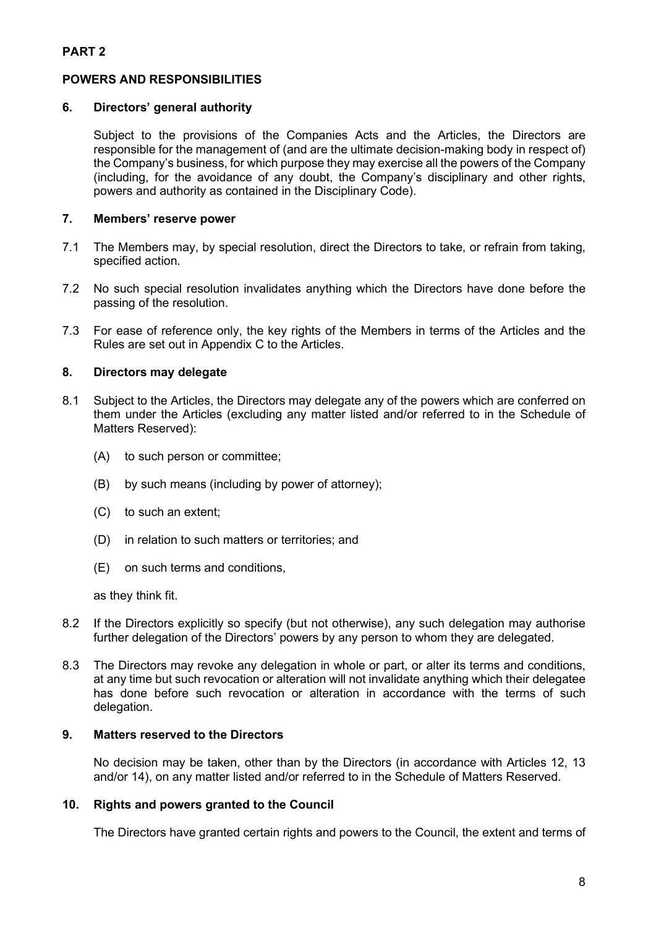# POWERS AND RESPONSIBILITIES

# 6. Directors' general authority

Subject to the provisions of the Companies Acts and the Articles, the Directors are responsible for the management of (and are the ultimate decision-making body in respect of) the Company's business, for which purpose they may exercise all the powers of the Company (including, for the avoidance of any doubt, the Company's disciplinary and other rights, powers and authority as contained in the Disciplinary Code).

# 7. Members' reserve power

- 7.1 The Members may, by special resolution, direct the Directors to take, or refrain from taking, specified action.
- 7.2 No such special resolution invalidates anything which the Directors have done before the passing of the resolution.
- 7.3 For ease of reference only, the key rights of the Members in terms of the Articles and the Rules are set out in Appendix C to the Articles.

# 8. Directors may delegate

- 8.1 Subject to the Articles, the Directors may delegate any of the powers which are conferred on them under the Articles (excluding any matter listed and/or referred to in the Schedule of Matters Reserved):
	- (A) to such person or committee;
	- (B) by such means (including by power of attorney);
	- (C) to such an extent;
	- (D) in relation to such matters or territories; and
	- (E) on such terms and conditions,

as they think fit.

- 8.2 If the Directors explicitly so specify (but not otherwise), any such delegation may authorise further delegation of the Directors' powers by any person to whom they are delegated.
- 8.3 The Directors may revoke any delegation in whole or part, or alter its terms and conditions, at any time but such revocation or alteration will not invalidate anything which their delegatee has done before such revocation or alteration in accordance with the terms of such delegation.

### 9. Matters reserved to the Directors

No decision may be taken, other than by the Directors (in accordance with Articles 12, 13 and/or 14), on any matter listed and/or referred to in the Schedule of Matters Reserved.

#### 10. Rights and powers granted to the Council

The Directors have granted certain rights and powers to the Council, the extent and terms of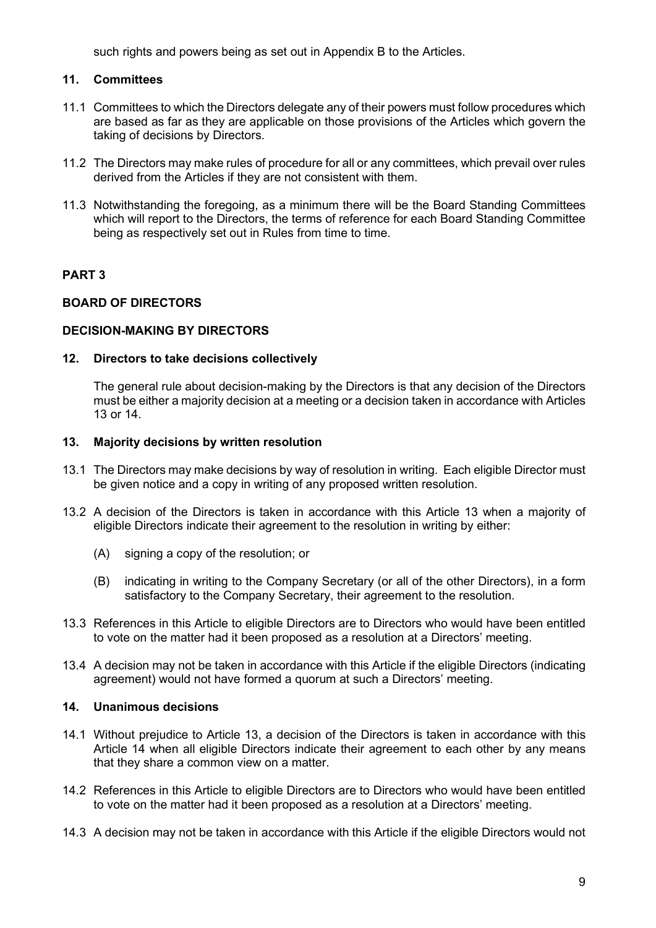such rights and powers being as set out in Appendix B to the Articles.

# 11. Committees

- 11.1 Committees to which the Directors delegate any of their powers must follow procedures which are based as far as they are applicable on those provisions of the Articles which govern the taking of decisions by Directors.
- 11.2 The Directors may make rules of procedure for all or any committees, which prevail over rules derived from the Articles if they are not consistent with them.
- 11.3 Notwithstanding the foregoing, as a minimum there will be the Board Standing Committees which will report to the Directors, the terms of reference for each Board Standing Committee being as respectively set out in Rules from time to time.

# PART 3

# BOARD OF DIRECTORS

# DECISION-MAKING BY DIRECTORS

# 12. Directors to take decisions collectively

The general rule about decision-making by the Directors is that any decision of the Directors must be either a majority decision at a meeting or a decision taken in accordance with Articles 13 or 14.

# 13. Majority decisions by written resolution

- 13.1 The Directors may make decisions by way of resolution in writing. Each eligible Director must be given notice and a copy in writing of any proposed written resolution.
- 13.2 A decision of the Directors is taken in accordance with this Article 13 when a majority of eligible Directors indicate their agreement to the resolution in writing by either:
	- (A) signing a copy of the resolution; or
	- (B) indicating in writing to the Company Secretary (or all of the other Directors), in a form satisfactory to the Company Secretary, their agreement to the resolution.
- 13.3 References in this Article to eligible Directors are to Directors who would have been entitled to vote on the matter had it been proposed as a resolution at a Directors' meeting.
- 13.4 A decision may not be taken in accordance with this Article if the eligible Directors (indicating agreement) would not have formed a quorum at such a Directors' meeting.

# 14. Unanimous decisions

- 14.1 Without prejudice to Article 13, a decision of the Directors is taken in accordance with this Article 14 when all eligible Directors indicate their agreement to each other by any means that they share a common view on a matter.
- 14.2 References in this Article to eligible Directors are to Directors who would have been entitled to vote on the matter had it been proposed as a resolution at a Directors' meeting.
- 14.3 A decision may not be taken in accordance with this Article if the eligible Directors would not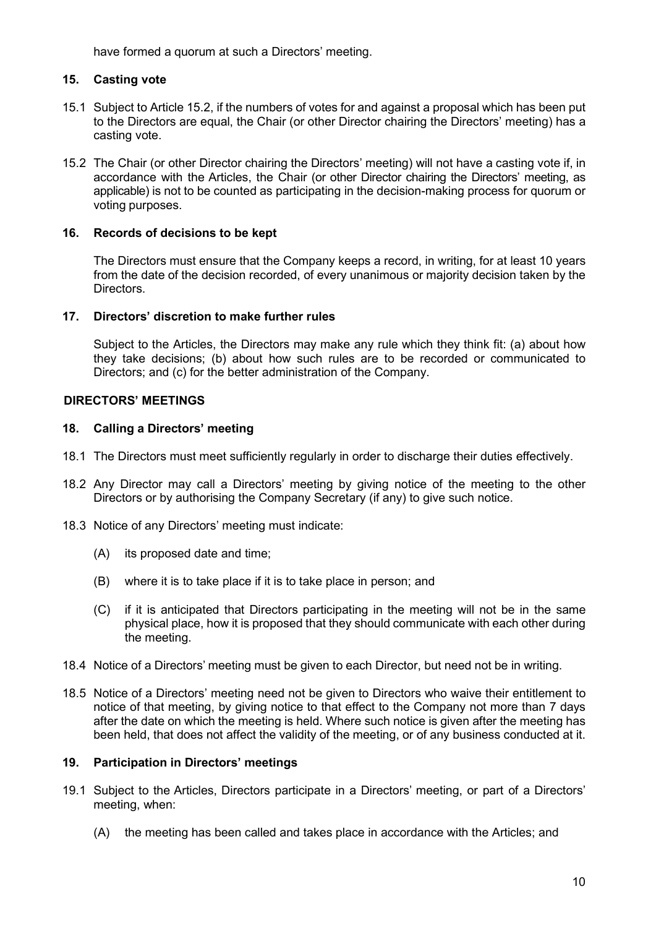have formed a quorum at such a Directors' meeting.

# 15. Casting vote

- 15.1 Subject to Article 15.2, if the numbers of votes for and against a proposal which has been put to the Directors are equal, the Chair (or other Director chairing the Directors' meeting) has a casting vote.
- 15.2 The Chair (or other Director chairing the Directors' meeting) will not have a casting vote if, in accordance with the Articles, the Chair (or other Director chairing the Directors' meeting, as applicable) is not to be counted as participating in the decision-making process for quorum or voting purposes.

# 16. Records of decisions to be kept

The Directors must ensure that the Company keeps a record, in writing, for at least 10 years from the date of the decision recorded, of every unanimous or majority decision taken by the Directors.

# 17. Directors' discretion to make further rules

Subject to the Articles, the Directors may make any rule which they think fit: (a) about how they take decisions; (b) about how such rules are to be recorded or communicated to Directors; and (c) for the better administration of the Company.

# DIRECTORS' MEETINGS

# 18. Calling a Directors' meeting

- 18.1 The Directors must meet sufficiently regularly in order to discharge their duties effectively.
- 18.2 Any Director may call a Directors' meeting by giving notice of the meeting to the other Directors or by authorising the Company Secretary (if any) to give such notice.
- 18.3 Notice of any Directors' meeting must indicate:
	- (A) its proposed date and time;
	- (B) where it is to take place if it is to take place in person; and
	- (C) if it is anticipated that Directors participating in the meeting will not be in the same physical place, how it is proposed that they should communicate with each other during the meeting.
- 18.4 Notice of a Directors' meeting must be given to each Director, but need not be in writing.
- 18.5 Notice of a Directors' meeting need not be given to Directors who waive their entitlement to notice of that meeting, by giving notice to that effect to the Company not more than 7 days after the date on which the meeting is held. Where such notice is given after the meeting has been held, that does not affect the validity of the meeting, or of any business conducted at it.

# 19. Participation in Directors' meetings

- 19.1 Subject to the Articles, Directors participate in a Directors' meeting, or part of a Directors' meeting, when:
	- (A) the meeting has been called and takes place in accordance with the Articles; and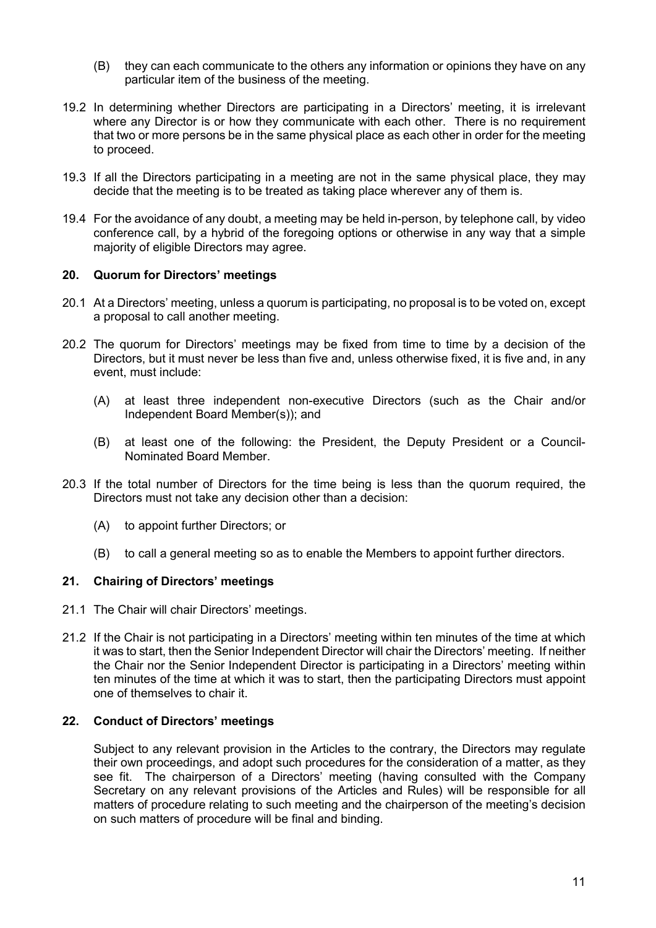- (B) they can each communicate to the others any information or opinions they have on any particular item of the business of the meeting.
- 19.2 In determining whether Directors are participating in a Directors' meeting, it is irrelevant where any Director is or how they communicate with each other. There is no requirement that two or more persons be in the same physical place as each other in order for the meeting to proceed.
- 19.3 If all the Directors participating in a meeting are not in the same physical place, they may decide that the meeting is to be treated as taking place wherever any of them is.
- 19.4 For the avoidance of any doubt, a meeting may be held in-person, by telephone call, by video conference call, by a hybrid of the foregoing options or otherwise in any way that a simple majority of eligible Directors may agree.

# 20. Quorum for Directors' meetings

- 20.1 At a Directors' meeting, unless a quorum is participating, no proposal is to be voted on, except a proposal to call another meeting.
- 20.2 The quorum for Directors' meetings may be fixed from time to time by a decision of the Directors, but it must never be less than five and, unless otherwise fixed, it is five and, in any event, must include:
	- (A) at least three independent non-executive Directors (such as the Chair and/or Independent Board Member(s)); and
	- (B) at least one of the following: the President, the Deputy President or a Council-Nominated Board Member.
- 20.3 If the total number of Directors for the time being is less than the quorum required, the Directors must not take any decision other than a decision:
	- (A) to appoint further Directors; or
	- (B) to call a general meeting so as to enable the Members to appoint further directors.

# 21. Chairing of Directors' meetings

- 21.1 The Chair will chair Directors' meetings.
- 21.2 If the Chair is not participating in a Directors' meeting within ten minutes of the time at which it was to start, then the Senior Independent Director will chair the Directors' meeting. If neither the Chair nor the Senior Independent Director is participating in a Directors' meeting within ten minutes of the time at which it was to start, then the participating Directors must appoint one of themselves to chair it.

# 22. Conduct of Directors' meetings

Subject to any relevant provision in the Articles to the contrary, the Directors may regulate their own proceedings, and adopt such procedures for the consideration of a matter, as they see fit. The chairperson of a Directors' meeting (having consulted with the Company Secretary on any relevant provisions of the Articles and Rules) will be responsible for all matters of procedure relating to such meeting and the chairperson of the meeting's decision on such matters of procedure will be final and binding.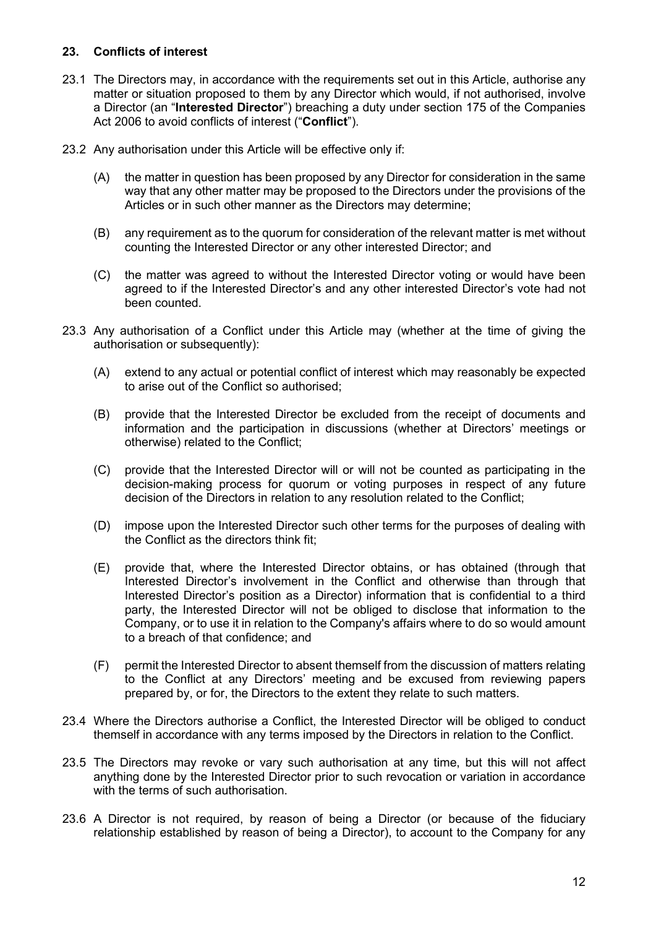# 23. Conflicts of interest

- 23.1 The Directors may, in accordance with the requirements set out in this Article, authorise any matter or situation proposed to them by any Director which would, if not authorised, involve a Director (an "Interested Director") breaching a duty under section 175 of the Companies Act 2006 to avoid conflicts of interest ("Conflict").
- 23.2 Any authorisation under this Article will be effective only if:
	- (A) the matter in question has been proposed by any Director for consideration in the same way that any other matter may be proposed to the Directors under the provisions of the Articles or in such other manner as the Directors may determine;
	- (B) any requirement as to the quorum for consideration of the relevant matter is met without counting the Interested Director or any other interested Director; and
	- (C) the matter was agreed to without the Interested Director voting or would have been agreed to if the Interested Director's and any other interested Director's vote had not been counted.
- 23.3 Any authorisation of a Conflict under this Article may (whether at the time of giving the authorisation or subsequently):
	- (A) extend to any actual or potential conflict of interest which may reasonably be expected to arise out of the Conflict so authorised;
	- (B) provide that the Interested Director be excluded from the receipt of documents and information and the participation in discussions (whether at Directors' meetings or otherwise) related to the Conflict;
	- (C) provide that the Interested Director will or will not be counted as participating in the decision-making process for quorum or voting purposes in respect of any future decision of the Directors in relation to any resolution related to the Conflict;
	- (D) impose upon the Interested Director such other terms for the purposes of dealing with the Conflict as the directors think fit;
	- (E) provide that, where the Interested Director obtains, or has obtained (through that Interested Director's involvement in the Conflict and otherwise than through that Interested Director's position as a Director) information that is confidential to a third party, the Interested Director will not be obliged to disclose that information to the Company, or to use it in relation to the Company's affairs where to do so would amount to a breach of that confidence; and
	- (F) permit the Interested Director to absent themself from the discussion of matters relating to the Conflict at any Directors' meeting and be excused from reviewing papers prepared by, or for, the Directors to the extent they relate to such matters.
- 23.4 Where the Directors authorise a Conflict, the Interested Director will be obliged to conduct themself in accordance with any terms imposed by the Directors in relation to the Conflict.
- 23.5 The Directors may revoke or vary such authorisation at any time, but this will not affect anything done by the Interested Director prior to such revocation or variation in accordance with the terms of such authorisation.
- 23.6 A Director is not required, by reason of being a Director (or because of the fiduciary relationship established by reason of being a Director), to account to the Company for any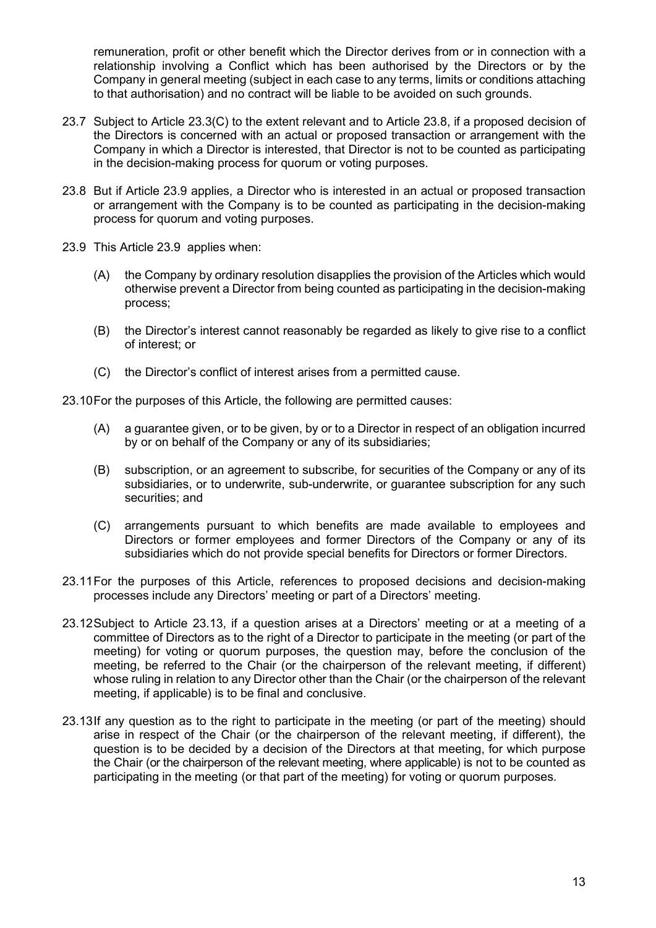remuneration, profit or other benefit which the Director derives from or in connection with a relationship involving a Conflict which has been authorised by the Directors or by the Company in general meeting (subject in each case to any terms, limits or conditions attaching to that authorisation) and no contract will be liable to be avoided on such grounds.

- 23.7 Subject to Article 23.3(C) to the extent relevant and to Article 23.8, if a proposed decision of the Directors is concerned with an actual or proposed transaction or arrangement with the Company in which a Director is interested, that Director is not to be counted as participating in the decision-making process for quorum or voting purposes.
- 23.8 But if Article 23.9 applies, a Director who is interested in an actual or proposed transaction or arrangement with the Company is to be counted as participating in the decision-making process for quorum and voting purposes.
- 23.9 This Article 23.9 applies when:
	- (A) the Company by ordinary resolution disapplies the provision of the Articles which would otherwise prevent a Director from being counted as participating in the decision-making process;
	- (B) the Director's interest cannot reasonably be regarded as likely to give rise to a conflict of interest; or
	- (C) the Director's conflict of interest arises from a permitted cause.

23.10 For the purposes of this Article, the following are permitted causes:

- (A) a guarantee given, or to be given, by or to a Director in respect of an obligation incurred by or on behalf of the Company or any of its subsidiaries;
- (B) subscription, or an agreement to subscribe, for securities of the Company or any of its subsidiaries, or to underwrite, sub-underwrite, or guarantee subscription for any such securities; and
- (C) arrangements pursuant to which benefits are made available to employees and Directors or former employees and former Directors of the Company or any of its subsidiaries which do not provide special benefits for Directors or former Directors.
- 23.11 For the purposes of this Article, references to proposed decisions and decision-making processes include any Directors' meeting or part of a Directors' meeting.
- 23.12 Subject to Article 23.13, if a question arises at a Directors' meeting or at a meeting of a committee of Directors as to the right of a Director to participate in the meeting (or part of the meeting) for voting or quorum purposes, the question may, before the conclusion of the meeting, be referred to the Chair (or the chairperson of the relevant meeting, if different) whose ruling in relation to any Director other than the Chair (or the chairperson of the relevant meeting, if applicable) is to be final and conclusive.
- 23.13 If any question as to the right to participate in the meeting (or part of the meeting) should arise in respect of the Chair (or the chairperson of the relevant meeting, if different), the question is to be decided by a decision of the Directors at that meeting, for which purpose the Chair (or the chairperson of the relevant meeting, where applicable) is not to be counted as participating in the meeting (or that part of the meeting) for voting or quorum purposes.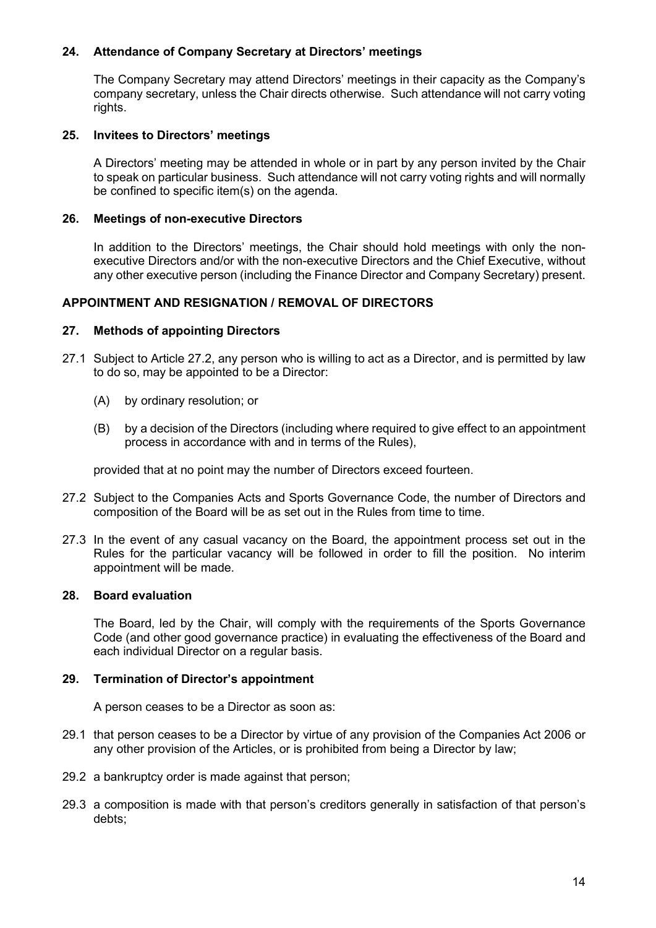# 24. Attendance of Company Secretary at Directors' meetings

The Company Secretary may attend Directors' meetings in their capacity as the Company's company secretary, unless the Chair directs otherwise. Such attendance will not carry voting rights.

### 25. Invitees to Directors' meetings

A Directors' meeting may be attended in whole or in part by any person invited by the Chair to speak on particular business. Such attendance will not carry voting rights and will normally be confined to specific item(s) on the agenda.

### 26. Meetings of non-executive Directors

In addition to the Directors' meetings, the Chair should hold meetings with only the nonexecutive Directors and/or with the non-executive Directors and the Chief Executive, without any other executive person (including the Finance Director and Company Secretary) present.

### APPOINTMENT AND RESIGNATION / REMOVAL OF DIRECTORS

### 27. Methods of appointing Directors

- 27.1 Subject to Article 27.2, any person who is willing to act as a Director, and is permitted by law to do so, may be appointed to be a Director:
	- (A) by ordinary resolution; or
	- (B) by a decision of the Directors (including where required to give effect to an appointment process in accordance with and in terms of the Rules),

provided that at no point may the number of Directors exceed fourteen.

- 27.2 Subject to the Companies Acts and Sports Governance Code, the number of Directors and composition of the Board will be as set out in the Rules from time to time.
- 27.3 In the event of any casual vacancy on the Board, the appointment process set out in the Rules for the particular vacancy will be followed in order to fill the position. No interim appointment will be made.

#### 28. Board evaluation

The Board, led by the Chair, will comply with the requirements of the Sports Governance Code (and other good governance practice) in evaluating the effectiveness of the Board and each individual Director on a regular basis.

#### 29. Termination of Director's appointment

A person ceases to be a Director as soon as:

- 29.1 that person ceases to be a Director by virtue of any provision of the Companies Act 2006 or any other provision of the Articles, or is prohibited from being a Director by law;
- 29.2 a bankruptcy order is made against that person;
- 29.3 a composition is made with that person's creditors generally in satisfaction of that person's debts;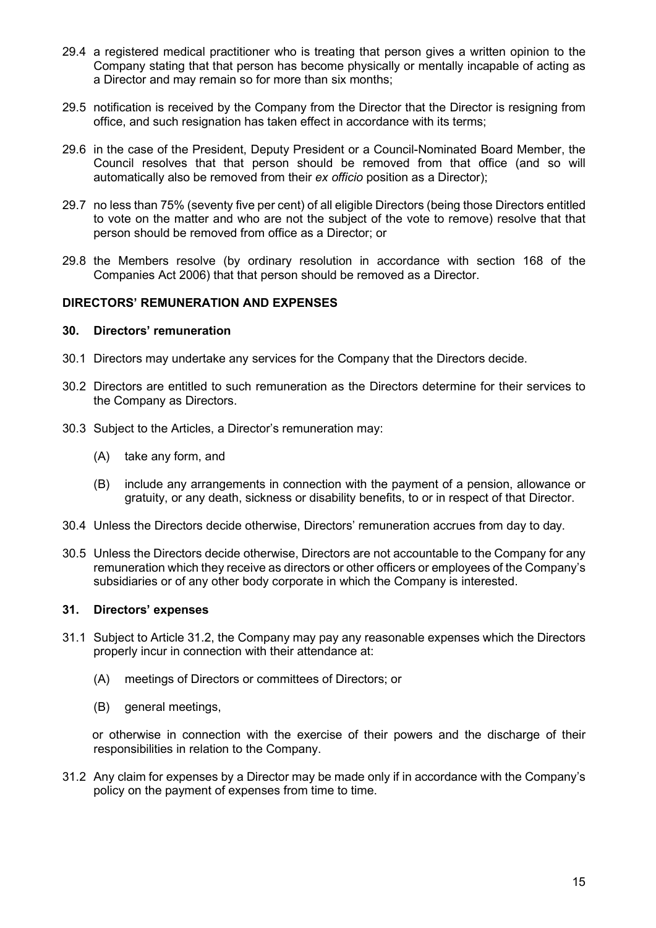- 29.4 a registered medical practitioner who is treating that person gives a written opinion to the Company stating that that person has become physically or mentally incapable of acting as a Director and may remain so for more than six months;
- 29.5 notification is received by the Company from the Director that the Director is resigning from office, and such resignation has taken effect in accordance with its terms;
- 29.6 in the case of the President, Deputy President or a Council-Nominated Board Member, the Council resolves that that person should be removed from that office (and so will automatically also be removed from their ex officio position as a Director);
- 29.7 no less than 75% (seventy five per cent) of all eligible Directors (being those Directors entitled to vote on the matter and who are not the subject of the vote to remove) resolve that that person should be removed from office as a Director; or
- 29.8 the Members resolve (by ordinary resolution in accordance with section 168 of the Companies Act 2006) that that person should be removed as a Director.

# DIRECTORS' REMUNERATION AND EXPENSES

#### 30. Directors' remuneration

- 30.1 Directors may undertake any services for the Company that the Directors decide.
- 30.2 Directors are entitled to such remuneration as the Directors determine for their services to the Company as Directors.
- 30.3 Subject to the Articles, a Director's remuneration may:
	- (A) take any form, and
	- (B) include any arrangements in connection with the payment of a pension, allowance or gratuity, or any death, sickness or disability benefits, to or in respect of that Director.
- 30.4 Unless the Directors decide otherwise, Directors' remuneration accrues from day to day.
- 30.5 Unless the Directors decide otherwise, Directors are not accountable to the Company for any remuneration which they receive as directors or other officers or employees of the Company's subsidiaries or of any other body corporate in which the Company is interested.

#### 31. Directors' expenses

- 31.1 Subject to Article 31.2, the Company may pay any reasonable expenses which the Directors properly incur in connection with their attendance at:
	- (A) meetings of Directors or committees of Directors; or
	- (B) general meetings,

or otherwise in connection with the exercise of their powers and the discharge of their responsibilities in relation to the Company.

31.2 Any claim for expenses by a Director may be made only if in accordance with the Company's policy on the payment of expenses from time to time.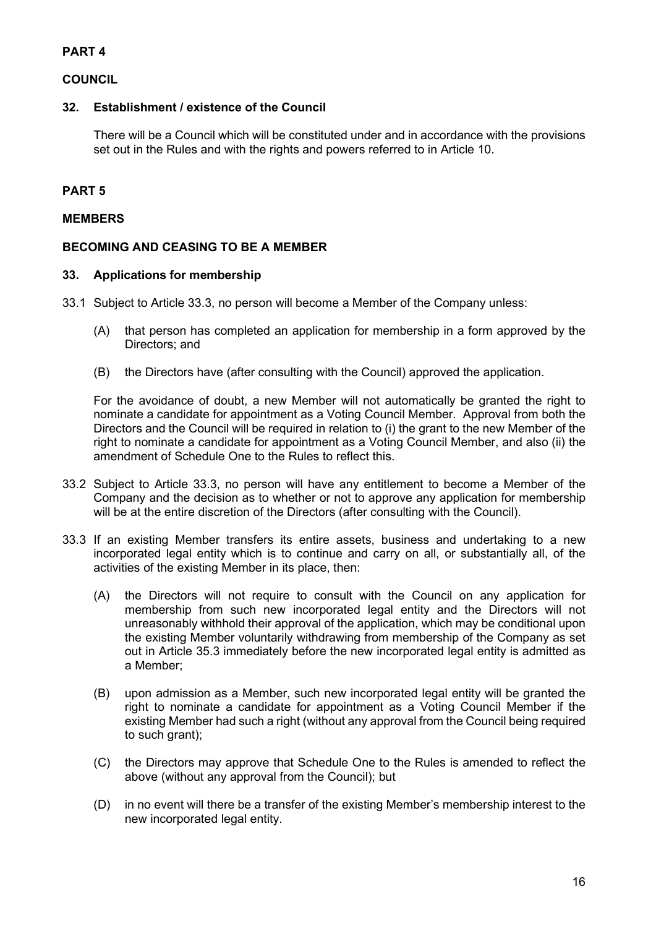# PART 4

# **COUNCIL**

# 32. Establishment / existence of the Council

There will be a Council which will be constituted under and in accordance with the provisions set out in the Rules and with the rights and powers referred to in Article 10.

# PART 5

### MEMBERS

# BECOMING AND CEASING TO BE A MEMBER

# 33. Applications for membership

- 33.1 Subject to Article 33.3, no person will become a Member of the Company unless:
	- (A) that person has completed an application for membership in a form approved by the Directors; and
	- (B) the Directors have (after consulting with the Council) approved the application.

For the avoidance of doubt, a new Member will not automatically be granted the right to nominate a candidate for appointment as a Voting Council Member. Approval from both the Directors and the Council will be required in relation to (i) the grant to the new Member of the right to nominate a candidate for appointment as a Voting Council Member, and also (ii) the amendment of Schedule One to the Rules to reflect this.

- 33.2 Subject to Article 33.3, no person will have any entitlement to become a Member of the Company and the decision as to whether or not to approve any application for membership will be at the entire discretion of the Directors (after consulting with the Council).
- 33.3 If an existing Member transfers its entire assets, business and undertaking to a new incorporated legal entity which is to continue and carry on all, or substantially all, of the activities of the existing Member in its place, then:
	- (A) the Directors will not require to consult with the Council on any application for membership from such new incorporated legal entity and the Directors will not unreasonably withhold their approval of the application, which may be conditional upon the existing Member voluntarily withdrawing from membership of the Company as set out in Article 35.3 immediately before the new incorporated legal entity is admitted as a Member;
	- (B) upon admission as a Member, such new incorporated legal entity will be granted the right to nominate a candidate for appointment as a Voting Council Member if the existing Member had such a right (without any approval from the Council being required to such grant);
	- (C) the Directors may approve that Schedule One to the Rules is amended to reflect the above (without any approval from the Council); but
	- (D) in no event will there be a transfer of the existing Member's membership interest to the new incorporated legal entity.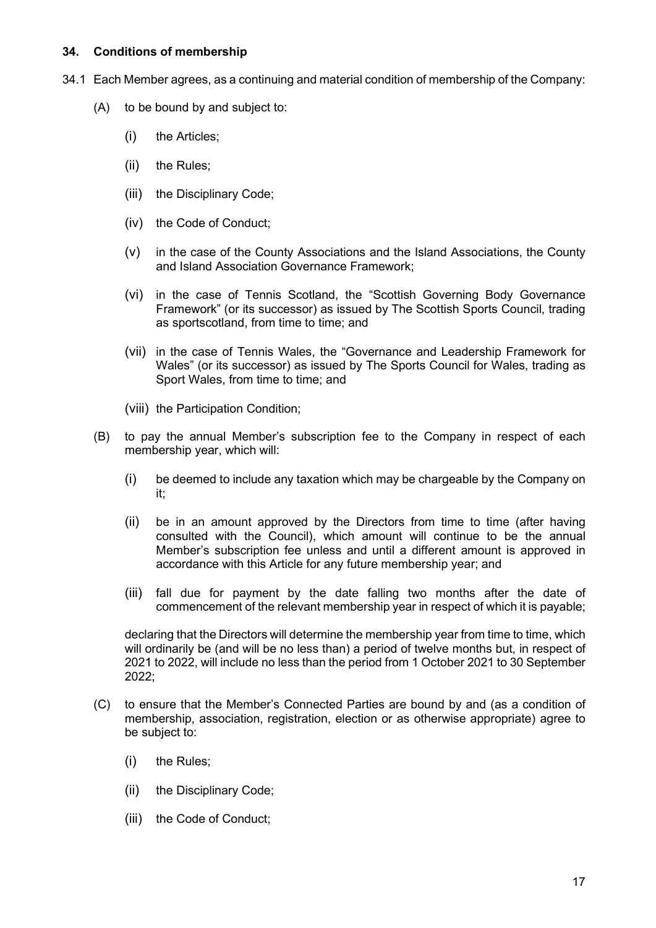# 34. Conditions of membership

- 34.1 Each Member agrees, as a continuing and material condition of membership of the Company:
	- (A) to be bound by and subject to:
		- (i) the Articles;
		- (ii) the Rules;
		- (iii) the Disciplinary Code;
		- (iv) the Code of Conduct;
		- (v) in the case of the County Associations and the Island Associations, the County and Island Association Governance Framework;
		- (vi) in the case of Tennis Scotland, the "Scottish Governing Body Governance Framework" (or its successor) as issued by The Scottish Sports Council, trading as sportscotland, from time to time; and
		- (vii) in the case of Tennis Wales, the "Governance and Leadership Framework for Wales" (or its successor) as issued by The Sports Council for Wales, trading as Sport Wales, from time to time; and
		- (viii) the Participation Condition;
	- (B) to pay the annual Member's subscription fee to the Company in respect of each membership year, which will:
		- (i) be deemed to include any taxation which may be chargeable by the Company on it;
		- (ii) be in an amount approved by the Directors from time to time (after having consulted with the Council), which amount will continue to be the annual Member's subscription fee unless and until a different amount is approved in accordance with this Article for any future membership year; and
		- (iii) fall due for payment by the date falling two months after the date of commencement of the relevant membership year in respect of which it is payable;

declaring that the Directors will determine the membership year from time to time, which will ordinarily be (and will be no less than) a period of twelve months but, in respect of 2021 to 2022, will include no less than the period from 1 October 2021 to 30 September 2022;

- (C) to ensure that the Member's Connected Parties are bound by and (as a condition of membership, association, registration, election or as otherwise appropriate) agree to be subject to:
	- (i) the Rules;
	- (ii) the Disciplinary Code;
	- (iii) the Code of Conduct;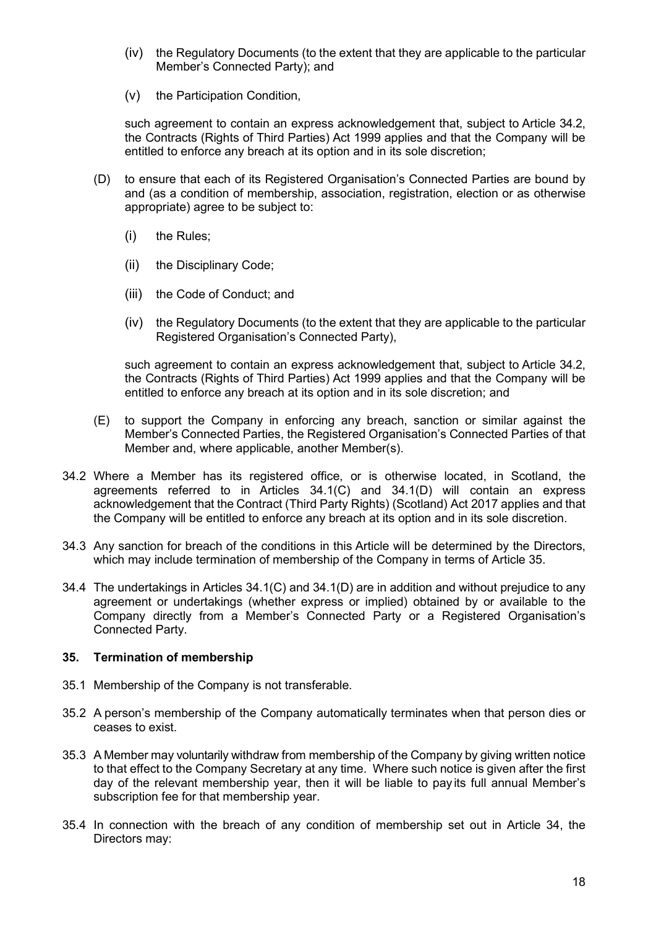- (iv) the Regulatory Documents (to the extent that they are applicable to the particular Member's Connected Party); and
- (v) the Participation Condition,

such agreement to contain an express acknowledgement that, subject to Article 34.2, the Contracts (Rights of Third Parties) Act 1999 applies and that the Company will be entitled to enforce any breach at its option and in its sole discretion;

- (D) to ensure that each of its Registered Organisation's Connected Parties are bound by and (as a condition of membership, association, registration, election or as otherwise appropriate) agree to be subject to:
	- (i) the Rules;
	- (ii) the Disciplinary Code;
	- (iii) the Code of Conduct; and
	- (iv) the Regulatory Documents (to the extent that they are applicable to the particular Registered Organisation's Connected Party),

such agreement to contain an express acknowledgement that, subject to Article 34.2, the Contracts (Rights of Third Parties) Act 1999 applies and that the Company will be entitled to enforce any breach at its option and in its sole discretion; and

- (E) to support the Company in enforcing any breach, sanction or similar against the Member's Connected Parties, the Registered Organisation's Connected Parties of that Member and, where applicable, another Member(s).
- 34.2 Where a Member has its registered office, or is otherwise located, in Scotland, the agreements referred to in Articles 34.1(C) and 34.1(D) will contain an express acknowledgement that the Contract (Third Party Rights) (Scotland) Act 2017 applies and that the Company will be entitled to enforce any breach at its option and in its sole discretion.
- 34.3 Any sanction for breach of the conditions in this Article will be determined by the Directors, which may include termination of membership of the Company in terms of Article 35.
- 34.4 The undertakings in Articles 34.1(C) and 34.1(D) are in addition and without prejudice to any agreement or undertakings (whether express or implied) obtained by or available to the Company directly from a Member's Connected Party or a Registered Organisation's Connected Party.

#### 35. Termination of membership

- 35.1 Membership of the Company is not transferable.
- 35.2 A person's membership of the Company automatically terminates when that person dies or ceases to exist.
- 35.3 A Member may voluntarily withdraw from membership of the Company by giving written notice to that effect to the Company Secretary at any time. Where such notice is given after the first day of the relevant membership year, then it will be liable to pay its full annual Member's subscription fee for that membership year.
- 35.4 In connection with the breach of any condition of membership set out in Article 34, the Directors may: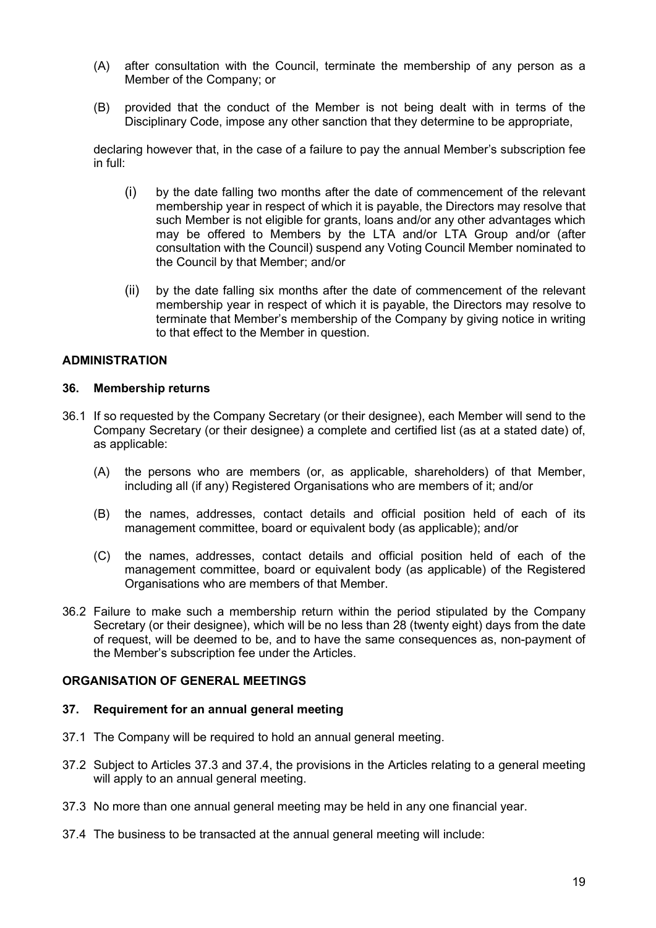- (A) after consultation with the Council, terminate the membership of any person as a Member of the Company; or
- (B) provided that the conduct of the Member is not being dealt with in terms of the Disciplinary Code, impose any other sanction that they determine to be appropriate,

declaring however that, in the case of a failure to pay the annual Member's subscription fee in full:

- (i) by the date falling two months after the date of commencement of the relevant membership year in respect of which it is payable, the Directors may resolve that such Member is not eligible for grants, loans and/or any other advantages which may be offered to Members by the LTA and/or LTA Group and/or (after consultation with the Council) suspend any Voting Council Member nominated to the Council by that Member; and/or
- (ii) by the date falling six months after the date of commencement of the relevant membership year in respect of which it is payable, the Directors may resolve to terminate that Member's membership of the Company by giving notice in writing to that effect to the Member in question.

# ADMINISTRATION

#### 36. Membership returns

- 36.1 If so requested by the Company Secretary (or their designee), each Member will send to the Company Secretary (or their designee) a complete and certified list (as at a stated date) of, as applicable:
	- (A) the persons who are members (or, as applicable, shareholders) of that Member, including all (if any) Registered Organisations who are members of it; and/or
	- (B) the names, addresses, contact details and official position held of each of its management committee, board or equivalent body (as applicable); and/or
	- (C) the names, addresses, contact details and official position held of each of the management committee, board or equivalent body (as applicable) of the Registered Organisations who are members of that Member.
- 36.2 Failure to make such a membership return within the period stipulated by the Company Secretary (or their designee), which will be no less than 28 (twenty eight) days from the date of request, will be deemed to be, and to have the same consequences as, non-payment of the Member's subscription fee under the Articles.

# ORGANISATION OF GENERAL MEETINGS

#### 37. Requirement for an annual general meeting

- 37.1 The Company will be required to hold an annual general meeting.
- 37.2 Subject to Articles 37.3 and 37.4, the provisions in the Articles relating to a general meeting will apply to an annual general meeting.
- 37.3 No more than one annual general meeting may be held in any one financial year.
- 37.4 The business to be transacted at the annual general meeting will include: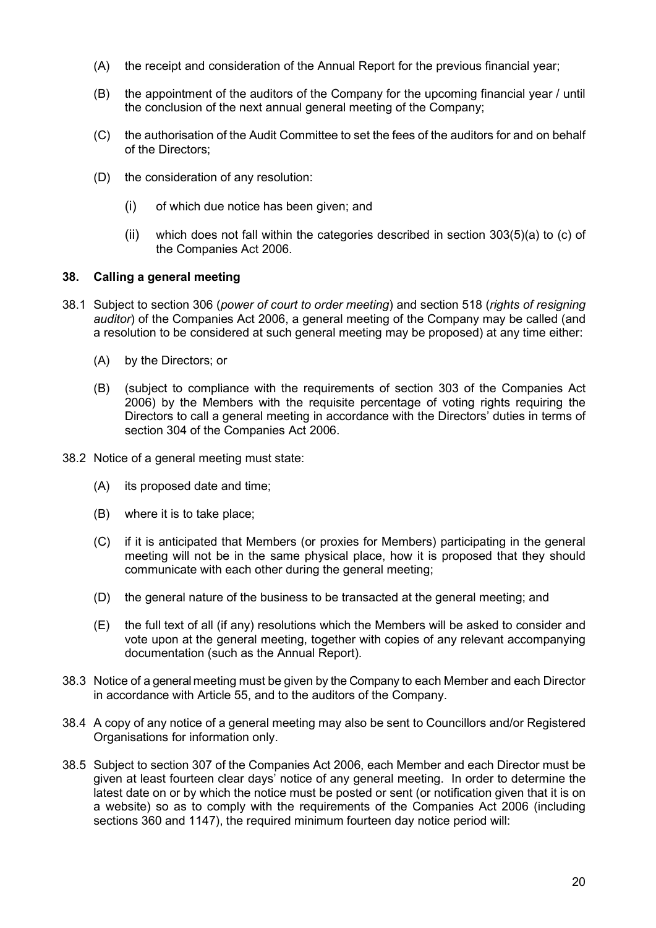- (A) the receipt and consideration of the Annual Report for the previous financial year;
- (B) the appointment of the auditors of the Company for the upcoming financial year / until the conclusion of the next annual general meeting of the Company;
- (C) the authorisation of the Audit Committee to set the fees of the auditors for and on behalf of the Directors;
- (D) the consideration of any resolution:
	- (i) of which due notice has been given; and
	- (ii) which does not fall within the categories described in section  $303(5)(a)$  to (c) of the Companies Act 2006.

# 38. Calling a general meeting

- 38.1 Subject to section 306 (power of court to order meeting) and section 518 (rights of resigning auditor) of the Companies Act 2006, a general meeting of the Company may be called (and a resolution to be considered at such general meeting may be proposed) at any time either:
	- (A) by the Directors; or
	- (B) (subject to compliance with the requirements of section 303 of the Companies Act 2006) by the Members with the requisite percentage of voting rights requiring the Directors to call a general meeting in accordance with the Directors' duties in terms of section 304 of the Companies Act 2006.
- 38.2 Notice of a general meeting must state:
	- (A) its proposed date and time;
	- (B) where it is to take place;
	- (C) if it is anticipated that Members (or proxies for Members) participating in the general meeting will not be in the same physical place, how it is proposed that they should communicate with each other during the general meeting;
	- (D) the general nature of the business to be transacted at the general meeting; and
	- (E) the full text of all (if any) resolutions which the Members will be asked to consider and vote upon at the general meeting, together with copies of any relevant accompanying documentation (such as the Annual Report).
- 38.3 Notice of a general meeting must be given by the Company to each Member and each Director in accordance with Article 55, and to the auditors of the Company.
- 38.4 A copy of any notice of a general meeting may also be sent to Councillors and/or Registered Organisations for information only.
- 38.5 Subject to section 307 of the Companies Act 2006, each Member and each Director must be given at least fourteen clear days' notice of any general meeting. In order to determine the latest date on or by which the notice must be posted or sent (or notification given that it is on a website) so as to comply with the requirements of the Companies Act 2006 (including sections 360 and 1147), the required minimum fourteen day notice period will: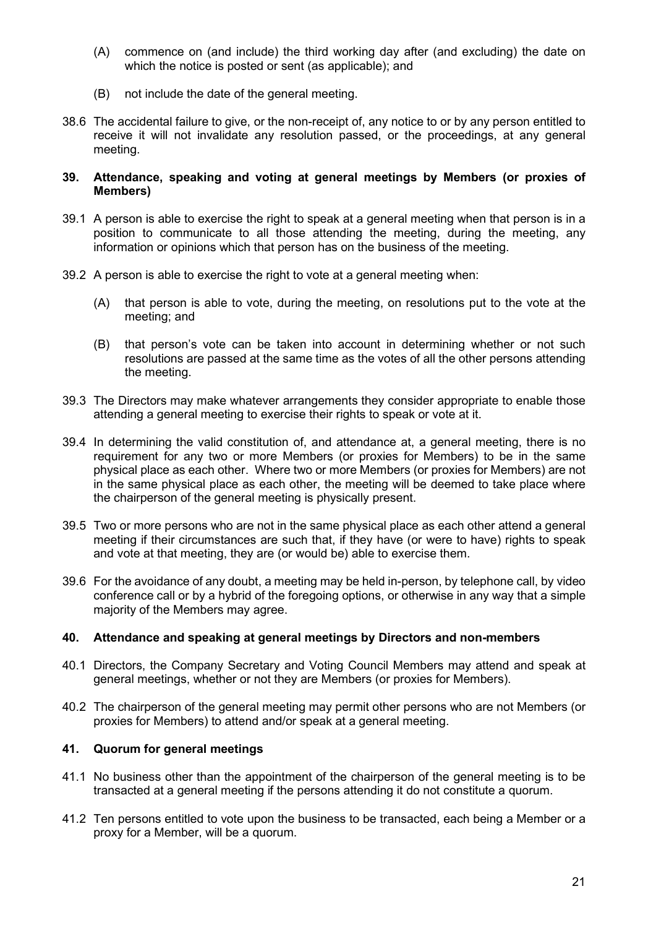- (A) commence on (and include) the third working day after (and excluding) the date on which the notice is posted or sent (as applicable); and
- (B) not include the date of the general meeting.
- 38.6 The accidental failure to give, or the non-receipt of, any notice to or by any person entitled to receive it will not invalidate any resolution passed, or the proceedings, at any general meeting.

#### 39. Attendance, speaking and voting at general meetings by Members (or proxies of Members)

- 39.1 A person is able to exercise the right to speak at a general meeting when that person is in a position to communicate to all those attending the meeting, during the meeting, any information or opinions which that person has on the business of the meeting.
- 39.2 A person is able to exercise the right to vote at a general meeting when:
	- (A) that person is able to vote, during the meeting, on resolutions put to the vote at the meeting; and
	- (B) that person's vote can be taken into account in determining whether or not such resolutions are passed at the same time as the votes of all the other persons attending the meeting.
- 39.3 The Directors may make whatever arrangements they consider appropriate to enable those attending a general meeting to exercise their rights to speak or vote at it.
- 39.4 In determining the valid constitution of, and attendance at, a general meeting, there is no requirement for any two or more Members (or proxies for Members) to be in the same physical place as each other. Where two or more Members (or proxies for Members) are not in the same physical place as each other, the meeting will be deemed to take place where the chairperson of the general meeting is physically present.
- 39.5 Two or more persons who are not in the same physical place as each other attend a general meeting if their circumstances are such that, if they have (or were to have) rights to speak and vote at that meeting, they are (or would be) able to exercise them.
- 39.6 For the avoidance of any doubt, a meeting may be held in-person, by telephone call, by video conference call or by a hybrid of the foregoing options, or otherwise in any way that a simple majority of the Members may agree.

# 40. Attendance and speaking at general meetings by Directors and non-members

- 40.1 Directors, the Company Secretary and Voting Council Members may attend and speak at general meetings, whether or not they are Members (or proxies for Members).
- 40.2 The chairperson of the general meeting may permit other persons who are not Members (or proxies for Members) to attend and/or speak at a general meeting.

# 41. Quorum for general meetings

- 41.1 No business other than the appointment of the chairperson of the general meeting is to be transacted at a general meeting if the persons attending it do not constitute a quorum.
- 41.2 Ten persons entitled to vote upon the business to be transacted, each being a Member or a proxy for a Member, will be a quorum.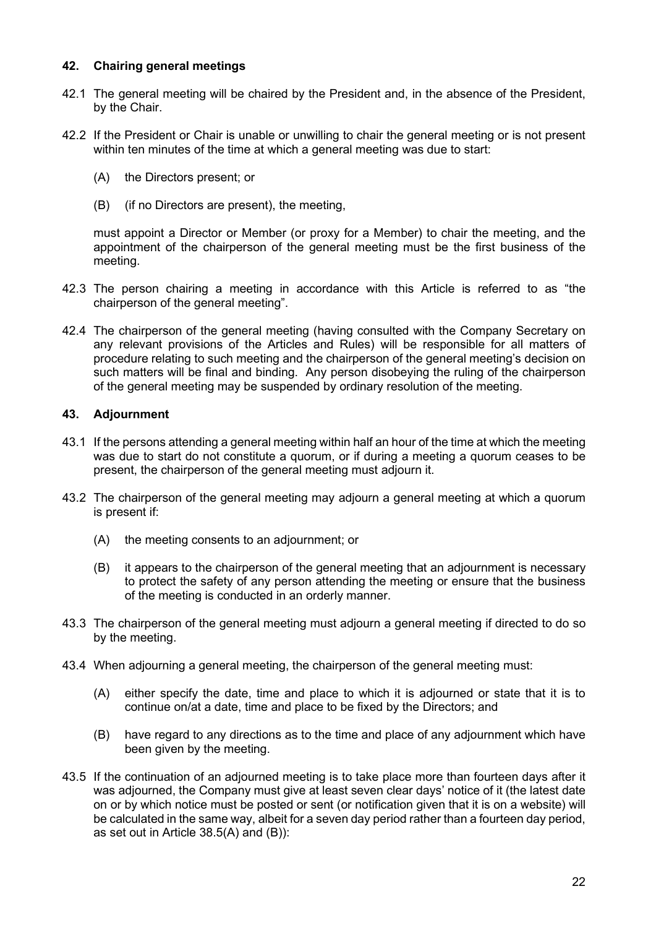# 42. Chairing general meetings

- 42.1 The general meeting will be chaired by the President and, in the absence of the President, by the Chair.
- 42.2 If the President or Chair is unable or unwilling to chair the general meeting or is not present within ten minutes of the time at which a general meeting was due to start:
	- (A) the Directors present; or
	- (B) (if no Directors are present), the meeting,

must appoint a Director or Member (or proxy for a Member) to chair the meeting, and the appointment of the chairperson of the general meeting must be the first business of the meeting.

- 42.3 The person chairing a meeting in accordance with this Article is referred to as "the chairperson of the general meeting".
- 42.4 The chairperson of the general meeting (having consulted with the Company Secretary on any relevant provisions of the Articles and Rules) will be responsible for all matters of procedure relating to such meeting and the chairperson of the general meeting's decision on such matters will be final and binding. Any person disobeying the ruling of the chairperson of the general meeting may be suspended by ordinary resolution of the meeting.

# 43. Adjournment

- 43.1 If the persons attending a general meeting within half an hour of the time at which the meeting was due to start do not constitute a quorum, or if during a meeting a quorum ceases to be present, the chairperson of the general meeting must adjourn it.
- 43.2 The chairperson of the general meeting may adjourn a general meeting at which a quorum is present if:
	- (A) the meeting consents to an adjournment; or
	- (B) it appears to the chairperson of the general meeting that an adjournment is necessary to protect the safety of any person attending the meeting or ensure that the business of the meeting is conducted in an orderly manner.
- 43.3 The chairperson of the general meeting must adjourn a general meeting if directed to do so by the meeting.
- 43.4 When adjourning a general meeting, the chairperson of the general meeting must:
	- (A) either specify the date, time and place to which it is adjourned or state that it is to continue on/at a date, time and place to be fixed by the Directors; and
	- (B) have regard to any directions as to the time and place of any adjournment which have been given by the meeting.
- 43.5 If the continuation of an adjourned meeting is to take place more than fourteen days after it was adjourned, the Company must give at least seven clear days' notice of it (the latest date on or by which notice must be posted or sent (or notification given that it is on a website) will be calculated in the same way, albeit for a seven day period rather than a fourteen day period, as set out in Article 38.5(A) and (B)):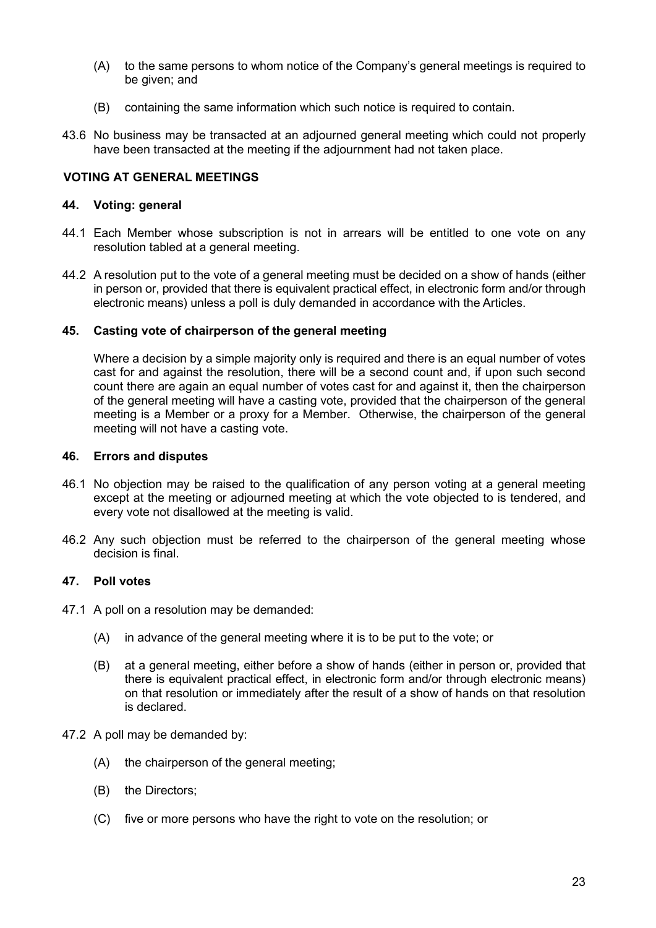- (A) to the same persons to whom notice of the Company's general meetings is required to be given; and
- (B) containing the same information which such notice is required to contain.
- 43.6 No business may be transacted at an adjourned general meeting which could not properly have been transacted at the meeting if the adjournment had not taken place.

### VOTING AT GENERAL MEETINGS

#### 44. Voting: general

- 44.1 Each Member whose subscription is not in arrears will be entitled to one vote on any resolution tabled at a general meeting.
- 44.2 A resolution put to the vote of a general meeting must be decided on a show of hands (either in person or, provided that there is equivalent practical effect, in electronic form and/or through electronic means) unless a poll is duly demanded in accordance with the Articles.

#### 45. Casting vote of chairperson of the general meeting

Where a decision by a simple majority only is required and there is an equal number of votes cast for and against the resolution, there will be a second count and, if upon such second count there are again an equal number of votes cast for and against it, then the chairperson of the general meeting will have a casting vote, provided that the chairperson of the general meeting is a Member or a proxy for a Member. Otherwise, the chairperson of the general meeting will not have a casting vote.

#### 46. Errors and disputes

- 46.1 No objection may be raised to the qualification of any person voting at a general meeting except at the meeting or adjourned meeting at which the vote objected to is tendered, and every vote not disallowed at the meeting is valid.
- 46.2 Any such objection must be referred to the chairperson of the general meeting whose decision is final.

### 47. Poll votes

- 47.1 A poll on a resolution may be demanded:
	- (A) in advance of the general meeting where it is to be put to the vote; or
	- (B) at a general meeting, either before a show of hands (either in person or, provided that there is equivalent practical effect, in electronic form and/or through electronic means) on that resolution or immediately after the result of a show of hands on that resolution is declared.

#### 47.2 A poll may be demanded by:

- (A) the chairperson of the general meeting;
- (B) the Directors;
- (C) five or more persons who have the right to vote on the resolution; or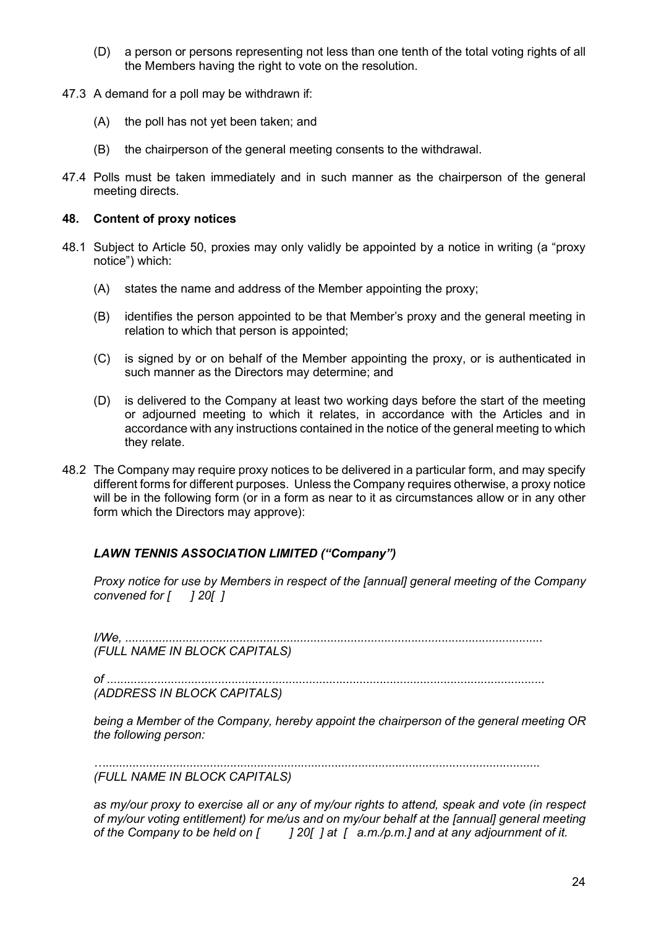- (D) a person or persons representing not less than one tenth of the total voting rights of all the Members having the right to vote on the resolution.
- 47.3 A demand for a poll may be withdrawn if:
	- (A) the poll has not yet been taken; and
	- (B) the chairperson of the general meeting consents to the withdrawal.
- 47.4 Polls must be taken immediately and in such manner as the chairperson of the general meeting directs.

### 48. Content of proxy notices

- 48.1 Subject to Article 50, proxies may only validly be appointed by a notice in writing (a "proxy notice") which:
	- (A) states the name and address of the Member appointing the proxy;
	- (B) identifies the person appointed to be that Member's proxy and the general meeting in relation to which that person is appointed;
	- (C) is signed by or on behalf of the Member appointing the proxy, or is authenticated in such manner as the Directors may determine; and
	- (D) is delivered to the Company at least two working days before the start of the meeting or adjourned meeting to which it relates, in accordance with the Articles and in accordance with any instructions contained in the notice of the general meeting to which they relate.
- 48.2 The Company may require proxy notices to be delivered in a particular form, and may specify different forms for different purposes. Unless the Company requires otherwise, a proxy notice will be in the following form (or in a form as near to it as circumstances allow or in any other form which the Directors may approve):

# LAWN TENNIS ASSOCIATION LIMITED ("Company")

Proxy notice for use by Members in respect of the [annual] general meeting of the Company convened for  $\begin{bmatrix} 1 & 20 \end{bmatrix}$ 

I/We, ............................................................................................................................ (FULL NAME IN BLOCK CAPITALS)

of .................................................................................................................................. (ADDRESS IN BLOCK CAPITALS)

being a Member of the Company, hereby appoint the chairperson of the general meeting OR the following person:

…................................................................................................................................. (FULL NAME IN BLOCK CAPITALS)

as my/our proxy to exercise all or any of my/our rights to attend, speak and vote (in respect of my/our voting entitlement) for me/us and on my/our behalf at the [annual] general meeting of the Company to be held on  $[$   $]$   $20$ [ ] at  $[$  a.m./p.m.] and at any adjournment of it.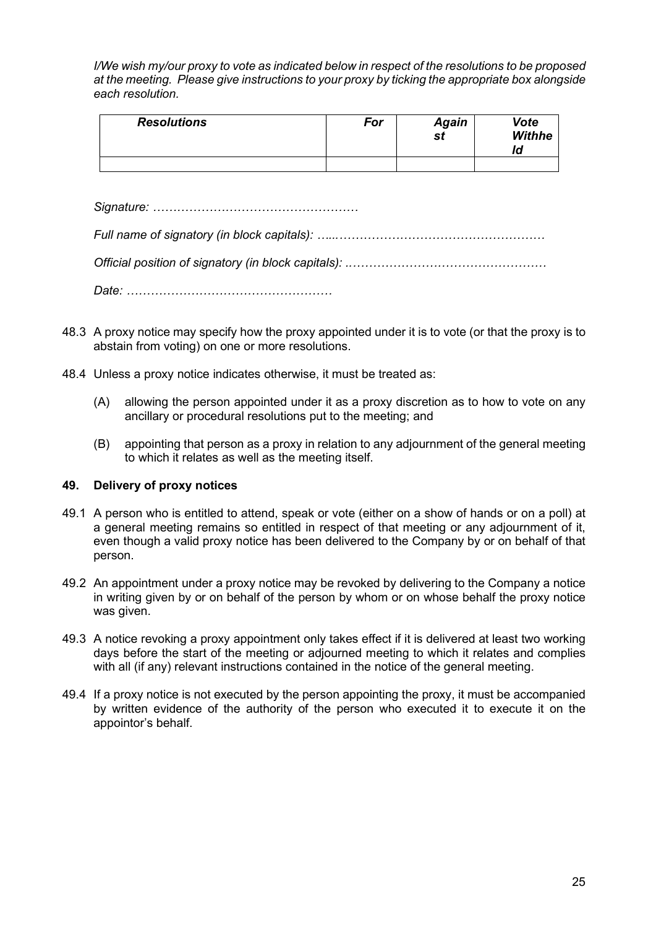I/We wish my/our proxy to vote as indicated below in respect of the resolutions to be proposed at the meeting. Please give instructions to your proxy by ticking the appropriate box alongside each resolution.

| <b>Resolutions</b> | For | <b>Again</b><br>st | Vote<br><b>Withhe</b><br>ld |
|--------------------|-----|--------------------|-----------------------------|
|                    |     |                    |                             |

Signature: ……………………………………………

Full name of signatory (in block capitals): …...……………………………………………

Official position of signatory (in block capitals): ..…………………………………………

Date: ……………………………………………

- 48.3 A proxy notice may specify how the proxy appointed under it is to vote (or that the proxy is to abstain from voting) on one or more resolutions.
- 48.4 Unless a proxy notice indicates otherwise, it must be treated as:
	- (A) allowing the person appointed under it as a proxy discretion as to how to vote on any ancillary or procedural resolutions put to the meeting; and
	- (B) appointing that person as a proxy in relation to any adjournment of the general meeting to which it relates as well as the meeting itself.

# 49. Delivery of proxy notices

- 49.1 A person who is entitled to attend, speak or vote (either on a show of hands or on a poll) at a general meeting remains so entitled in respect of that meeting or any adjournment of it, even though a valid proxy notice has been delivered to the Company by or on behalf of that person.
- 49.2 An appointment under a proxy notice may be revoked by delivering to the Company a notice in writing given by or on behalf of the person by whom or on whose behalf the proxy notice was given.
- 49.3 A notice revoking a proxy appointment only takes effect if it is delivered at least two working days before the start of the meeting or adjourned meeting to which it relates and complies with all (if any) relevant instructions contained in the notice of the general meeting.
- 49.4 If a proxy notice is not executed by the person appointing the proxy, it must be accompanied by written evidence of the authority of the person who executed it to execute it on the appointor's behalf.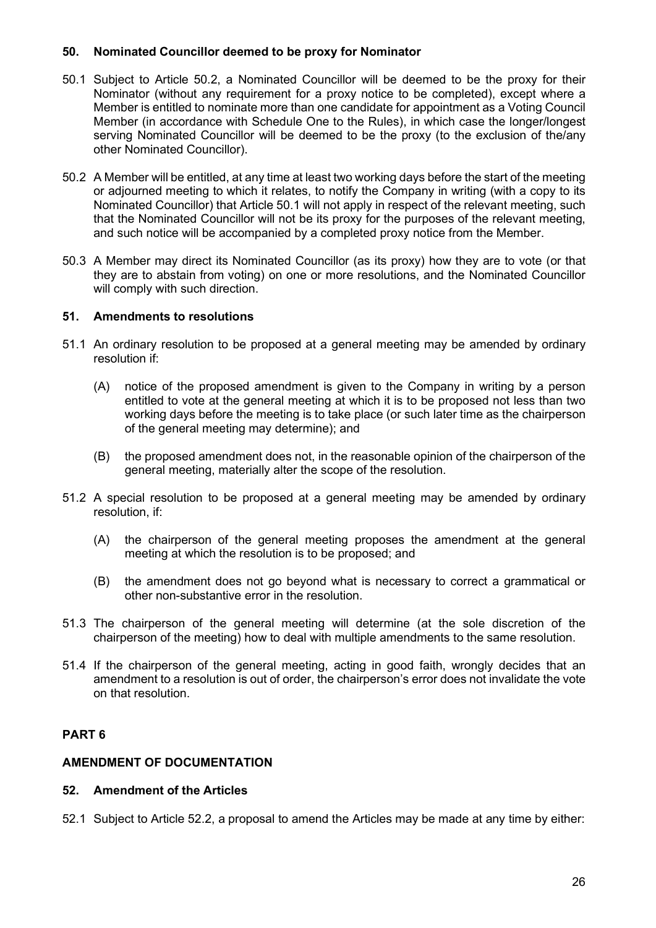# 50. Nominated Councillor deemed to be proxy for Nominator

- 50.1 Subject to Article 50.2, a Nominated Councillor will be deemed to be the proxy for their Nominator (without any requirement for a proxy notice to be completed), except where a Member is entitled to nominate more than one candidate for appointment as a Voting Council Member (in accordance with Schedule One to the Rules), in which case the longer/longest serving Nominated Councillor will be deemed to be the proxy (to the exclusion of the/any other Nominated Councillor).
- 50.2 A Member will be entitled, at any time at least two working days before the start of the meeting or adjourned meeting to which it relates, to notify the Company in writing (with a copy to its Nominated Councillor) that Article 50.1 will not apply in respect of the relevant meeting, such that the Nominated Councillor will not be its proxy for the purposes of the relevant meeting, and such notice will be accompanied by a completed proxy notice from the Member.
- 50.3 A Member may direct its Nominated Councillor (as its proxy) how they are to vote (or that they are to abstain from voting) on one or more resolutions, and the Nominated Councillor will comply with such direction.

# 51. Amendments to resolutions

- 51.1 An ordinary resolution to be proposed at a general meeting may be amended by ordinary resolution if:
	- (A) notice of the proposed amendment is given to the Company in writing by a person entitled to vote at the general meeting at which it is to be proposed not less than two working days before the meeting is to take place (or such later time as the chairperson of the general meeting may determine); and
	- (B) the proposed amendment does not, in the reasonable opinion of the chairperson of the general meeting, materially alter the scope of the resolution.
- 51.2 A special resolution to be proposed at a general meeting may be amended by ordinary resolution, if:
	- (A) the chairperson of the general meeting proposes the amendment at the general meeting at which the resolution is to be proposed; and
	- (B) the amendment does not go beyond what is necessary to correct a grammatical or other non-substantive error in the resolution.
- 51.3 The chairperson of the general meeting will determine (at the sole discretion of the chairperson of the meeting) how to deal with multiple amendments to the same resolution.
- 51.4 If the chairperson of the general meeting, acting in good faith, wrongly decides that an amendment to a resolution is out of order, the chairperson's error does not invalidate the vote on that resolution.

# PART 6

# AMENDMENT OF DOCUMENTATION

# 52. Amendment of the Articles

52.1 Subject to Article 52.2, a proposal to amend the Articles may be made at any time by either: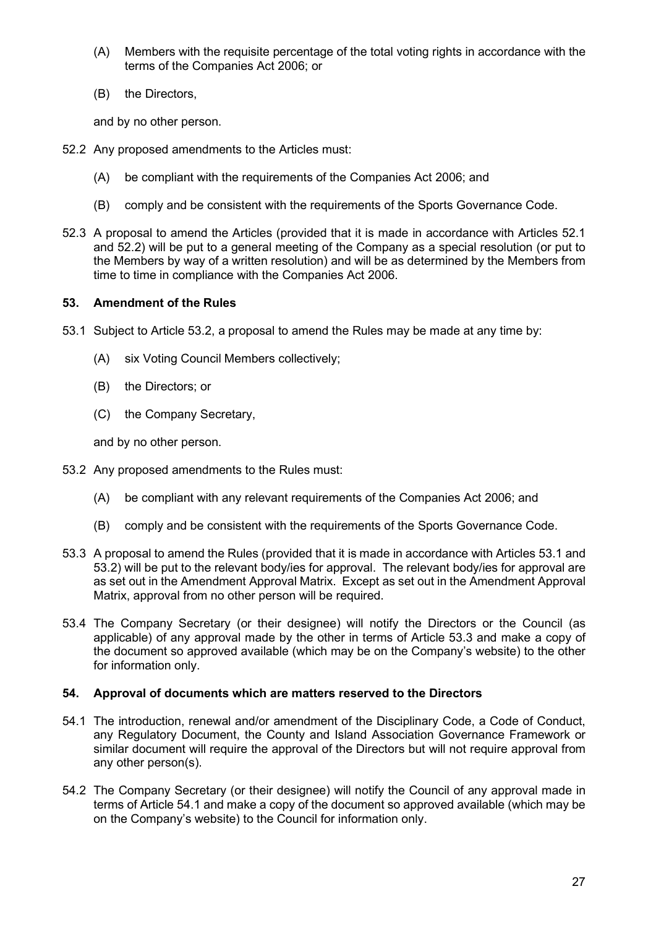- (A) Members with the requisite percentage of the total voting rights in accordance with the terms of the Companies Act 2006; or
- (B) the Directors,

and by no other person.

- 52.2 Any proposed amendments to the Articles must:
	- (A) be compliant with the requirements of the Companies Act 2006; and
	- (B) comply and be consistent with the requirements of the Sports Governance Code.
- 52.3 A proposal to amend the Articles (provided that it is made in accordance with Articles 52.1 and 52.2) will be put to a general meeting of the Company as a special resolution (or put to the Members by way of a written resolution) and will be as determined by the Members from time to time in compliance with the Companies Act 2006.

# 53. Amendment of the Rules

- 53.1 Subject to Article 53.2, a proposal to amend the Rules may be made at any time by:
	- (A) six Voting Council Members collectively;
	- (B) the Directors; or
	- (C) the Company Secretary,

and by no other person.

- 53.2 Any proposed amendments to the Rules must:
	- (A) be compliant with any relevant requirements of the Companies Act 2006; and
	- (B) comply and be consistent with the requirements of the Sports Governance Code.
- 53.3 A proposal to amend the Rules (provided that it is made in accordance with Articles 53.1 and 53.2) will be put to the relevant body/ies for approval. The relevant body/ies for approval are as set out in the Amendment Approval Matrix. Except as set out in the Amendment Approval Matrix, approval from no other person will be required.
- 53.4 The Company Secretary (or their designee) will notify the Directors or the Council (as applicable) of any approval made by the other in terms of Article 53.3 and make a copy of the document so approved available (which may be on the Company's website) to the other for information only.

# 54. Approval of documents which are matters reserved to the Directors

- 54.1 The introduction, renewal and/or amendment of the Disciplinary Code, a Code of Conduct, any Regulatory Document, the County and Island Association Governance Framework or similar document will require the approval of the Directors but will not require approval from any other person(s).
- 54.2 The Company Secretary (or their designee) will notify the Council of any approval made in terms of Article 54.1 and make a copy of the document so approved available (which may be on the Company's website) to the Council for information only.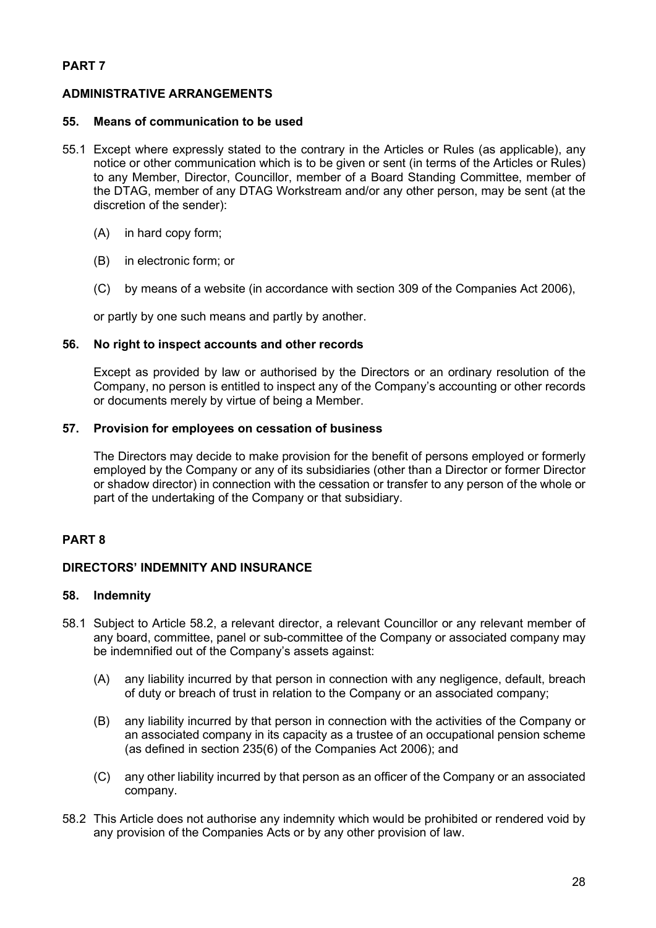# PART 7

# ADMINISTRATIVE ARRANGEMENTS

### 55. Means of communication to be used

- 55.1 Except where expressly stated to the contrary in the Articles or Rules (as applicable), any notice or other communication which is to be given or sent (in terms of the Articles or Rules) to any Member, Director, Councillor, member of a Board Standing Committee, member of the DTAG, member of any DTAG Workstream and/or any other person, may be sent (at the discretion of the sender):
	- (A) in hard copy form;
	- (B) in electronic form; or
	- (C) by means of a website (in accordance with section 309 of the Companies Act 2006),

or partly by one such means and partly by another.

### 56. No right to inspect accounts and other records

Except as provided by law or authorised by the Directors or an ordinary resolution of the Company, no person is entitled to inspect any of the Company's accounting or other records or documents merely by virtue of being a Member.

# 57. Provision for employees on cessation of business

The Directors may decide to make provision for the benefit of persons employed or formerly employed by the Company or any of its subsidiaries (other than a Director or former Director or shadow director) in connection with the cessation or transfer to any person of the whole or part of the undertaking of the Company or that subsidiary.

# PART 8

#### DIRECTORS' INDEMNITY AND INSURANCE

#### 58. Indemnity

- 58.1 Subject to Article 58.2, a relevant director, a relevant Councillor or any relevant member of any board, committee, panel or sub-committee of the Company or associated company may be indemnified out of the Company's assets against:
	- (A) any liability incurred by that person in connection with any negligence, default, breach of duty or breach of trust in relation to the Company or an associated company;
	- (B) any liability incurred by that person in connection with the activities of the Company or an associated company in its capacity as a trustee of an occupational pension scheme (as defined in section 235(6) of the Companies Act 2006); and
	- (C) any other liability incurred by that person as an officer of the Company or an associated company.
- 58.2 This Article does not authorise any indemnity which would be prohibited or rendered void by any provision of the Companies Acts or by any other provision of law.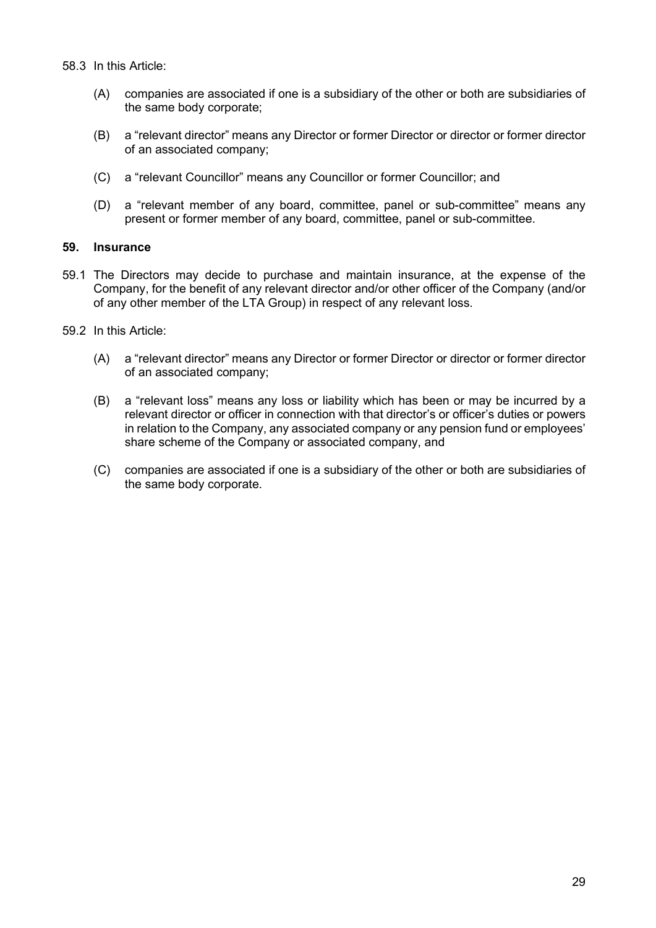- (A) companies are associated if one is a subsidiary of the other or both are subsidiaries of the same body corporate;
- (B) a "relevant director" means any Director or former Director or director or former director of an associated company;
- (C) a "relevant Councillor" means any Councillor or former Councillor; and
- (D) a "relevant member of any board, committee, panel or sub-committee" means any present or former member of any board, committee, panel or sub-committee.

# 59. Insurance

- 59.1 The Directors may decide to purchase and maintain insurance, at the expense of the Company, for the benefit of any relevant director and/or other officer of the Company (and/or of any other member of the LTA Group) in respect of any relevant loss.
- 59.2 In this Article:
	- (A) a "relevant director" means any Director or former Director or director or former director of an associated company;
	- (B) a "relevant loss" means any loss or liability which has been or may be incurred by a relevant director or officer in connection with that director's or officer's duties or powers in relation to the Company, any associated company or any pension fund or employees' share scheme of the Company or associated company, and
	- (C) companies are associated if one is a subsidiary of the other or both are subsidiaries of the same body corporate.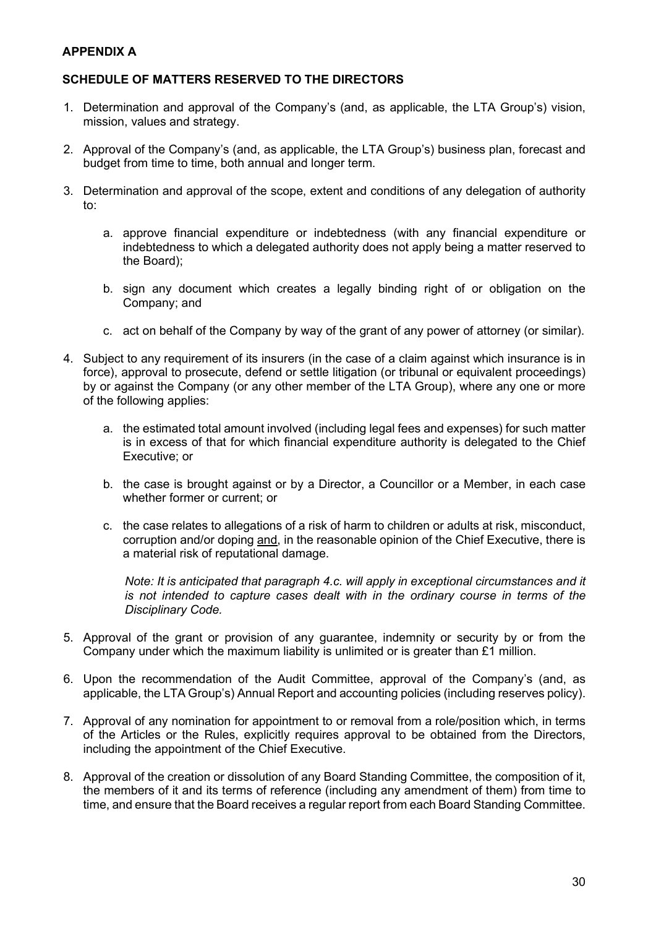# APPENDIX A

# SCHEDULE OF MATTERS RESERVED TO THE DIRECTORS

- 1. Determination and approval of the Company's (and, as applicable, the LTA Group's) vision, mission, values and strategy.
- 2. Approval of the Company's (and, as applicable, the LTA Group's) business plan, forecast and budget from time to time, both annual and longer term.
- 3. Determination and approval of the scope, extent and conditions of any delegation of authority to:
	- a. approve financial expenditure or indebtedness (with any financial expenditure or indebtedness to which a delegated authority does not apply being a matter reserved to the Board);
	- b. sign any document which creates a legally binding right of or obligation on the Company; and
	- c. act on behalf of the Company by way of the grant of any power of attorney (or similar).
- 4. Subject to any requirement of its insurers (in the case of a claim against which insurance is in force), approval to prosecute, defend or settle litigation (or tribunal or equivalent proceedings) by or against the Company (or any other member of the LTA Group), where any one or more of the following applies:
	- a. the estimated total amount involved (including legal fees and expenses) for such matter is in excess of that for which financial expenditure authority is delegated to the Chief Executive; or
	- b. the case is brought against or by a Director, a Councillor or a Member, in each case whether former or current; or
	- c. the case relates to allegations of a risk of harm to children or adults at risk, misconduct, corruption and/or doping and, in the reasonable opinion of the Chief Executive, there is a material risk of reputational damage.

Note: It is anticipated that paragraph 4.c. will apply in exceptional circumstances and it is not intended to capture cases dealt with in the ordinary course in terms of the Disciplinary Code.

- 5. Approval of the grant or provision of any guarantee, indemnity or security by or from the Company under which the maximum liability is unlimited or is greater than £1 million.
- 6. Upon the recommendation of the Audit Committee, approval of the Company's (and, as applicable, the LTA Group's) Annual Report and accounting policies (including reserves policy).
- 7. Approval of any nomination for appointment to or removal from a role/position which, in terms of the Articles or the Rules, explicitly requires approval to be obtained from the Directors, including the appointment of the Chief Executive.
- 8. Approval of the creation or dissolution of any Board Standing Committee, the composition of it, the members of it and its terms of reference (including any amendment of them) from time to time, and ensure that the Board receives a regular report from each Board Standing Committee.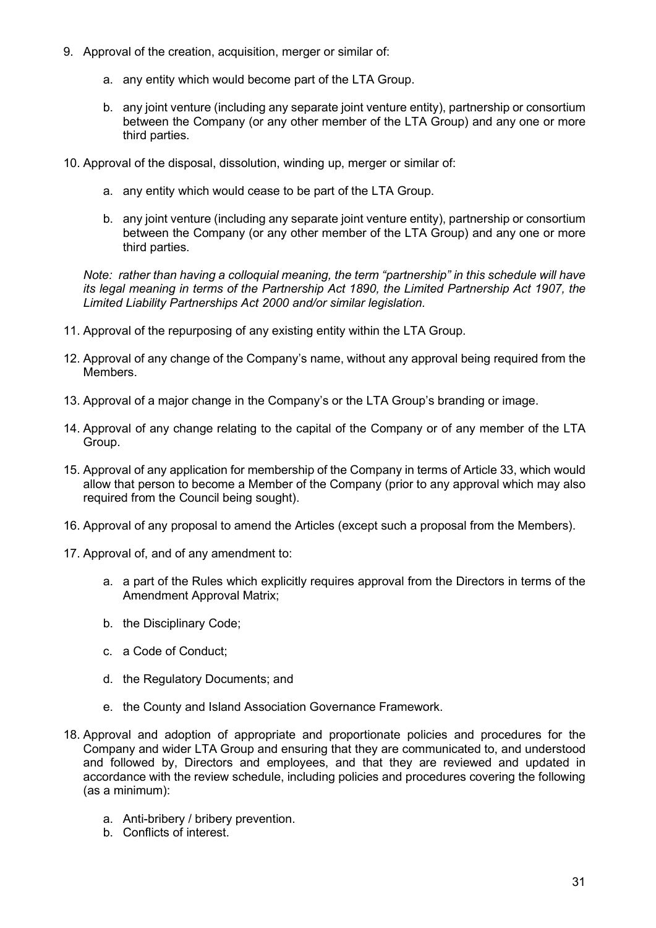- 9. Approval of the creation, acquisition, merger or similar of:
	- a. any entity which would become part of the LTA Group.
	- b. any joint venture (including any separate joint venture entity), partnership or consortium between the Company (or any other member of the LTA Group) and any one or more third parties.
- 10. Approval of the disposal, dissolution, winding up, merger or similar of:
	- a. any entity which would cease to be part of the LTA Group.
	- b. any joint venture (including any separate joint venture entity), partnership or consortium between the Company (or any other member of the LTA Group) and any one or more third parties.

Note: rather than having a colloquial meaning, the term "partnership" in this schedule will have its legal meaning in terms of the Partnership Act 1890, the Limited Partnership Act 1907, the Limited Liability Partnerships Act 2000 and/or similar legislation.

- 11. Approval of the repurposing of any existing entity within the LTA Group.
- 12. Approval of any change of the Company's name, without any approval being required from the **Members**
- 13. Approval of a major change in the Company's or the LTA Group's branding or image.
- 14. Approval of any change relating to the capital of the Company or of any member of the LTA Group.
- 15. Approval of any application for membership of the Company in terms of Article 33, which would allow that person to become a Member of the Company (prior to any approval which may also required from the Council being sought).
- 16. Approval of any proposal to amend the Articles (except such a proposal from the Members).
- 17. Approval of, and of any amendment to:
	- a. a part of the Rules which explicitly requires approval from the Directors in terms of the Amendment Approval Matrix;
	- b. the Disciplinary Code;
	- c. a Code of Conduct;
	- d. the Regulatory Documents; and
	- e. the County and Island Association Governance Framework.
- 18. Approval and adoption of appropriate and proportionate policies and procedures for the Company and wider LTA Group and ensuring that they are communicated to, and understood and followed by, Directors and employees, and that they are reviewed and updated in accordance with the review schedule, including policies and procedures covering the following (as a minimum):
	- a. Anti-bribery / bribery prevention.
	- b. Conflicts of interest.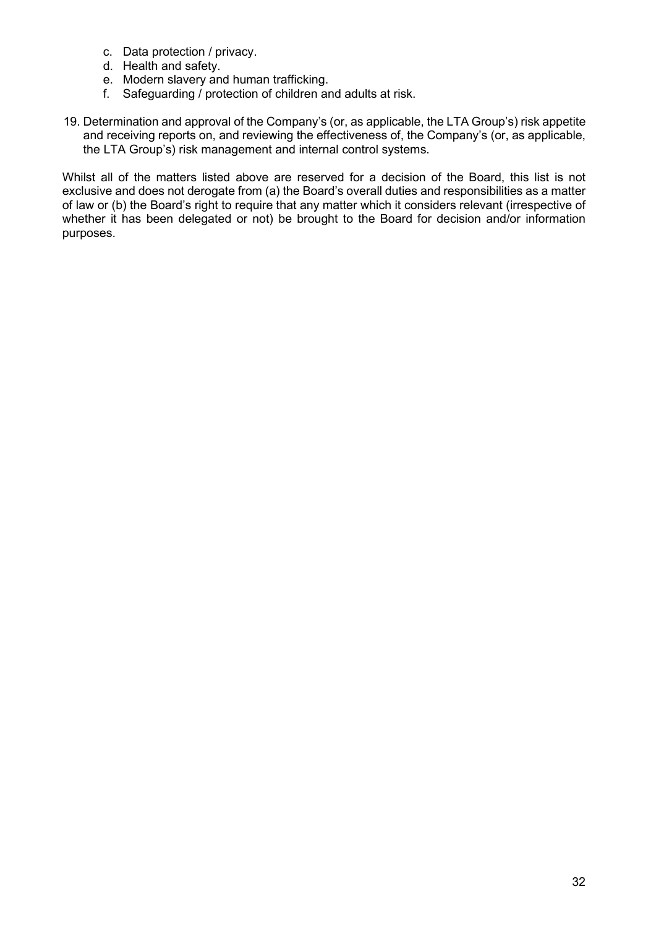- c. Data protection / privacy.
- d. Health and safety.
- e. Modern slavery and human trafficking.
- f. Safeguarding / protection of children and adults at risk.
- 19. Determination and approval of the Company's (or, as applicable, the LTA Group's) risk appetite and receiving reports on, and reviewing the effectiveness of, the Company's (or, as applicable, the LTA Group's) risk management and internal control systems.

Whilst all of the matters listed above are reserved for a decision of the Board, this list is not exclusive and does not derogate from (a) the Board's overall duties and responsibilities as a matter of law or (b) the Board's right to require that any matter which it considers relevant (irrespective of whether it has been delegated or not) be brought to the Board for decision and/or information purposes.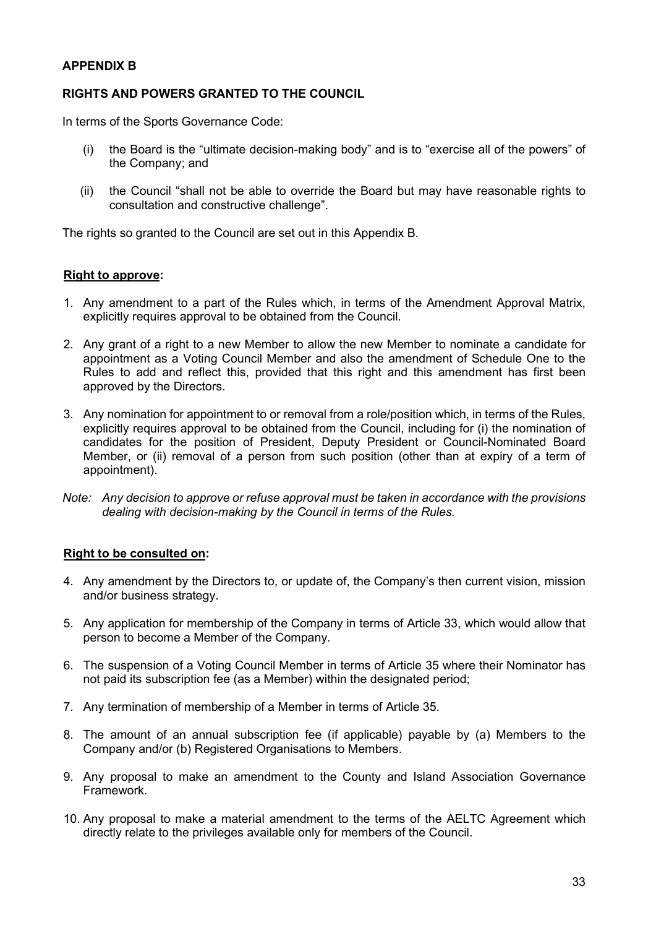# APPENDIX B

# RIGHTS AND POWERS GRANTED TO THE COUNCIL

In terms of the Sports Governance Code:

- (i) the Board is the "ultimate decision-making body" and is to "exercise all of the powers" of the Company; and
- (ii) the Council "shall not be able to override the Board but may have reasonable rights to consultation and constructive challenge".

The rights so granted to the Council are set out in this Appendix B.

### Right to approve:

- 1. Any amendment to a part of the Rules which, in terms of the Amendment Approval Matrix, explicitly requires approval to be obtained from the Council.
- 2. Any grant of a right to a new Member to allow the new Member to nominate a candidate for appointment as a Voting Council Member and also the amendment of Schedule One to the Rules to add and reflect this, provided that this right and this amendment has first been approved by the Directors.
- 3. Any nomination for appointment to or removal from a role/position which, in terms of the Rules, explicitly requires approval to be obtained from the Council, including for (i) the nomination of candidates for the position of President, Deputy President or Council-Nominated Board Member, or (ii) removal of a person from such position (other than at expiry of a term of appointment).
- Note: Any decision to approve or refuse approval must be taken in accordance with the provisions dealing with decision-making by the Council in terms of the Rules.

# Right to be consulted on:

- 4. Any amendment by the Directors to, or update of, the Company's then current vision, mission and/or business strategy.
- 5. Any application for membership of the Company in terms of Article 33, which would allow that person to become a Member of the Company.
- 6. The suspension of a Voting Council Member in terms of Article 35 where their Nominator has not paid its subscription fee (as a Member) within the designated period;
- 7. Any termination of membership of a Member in terms of Article 35.
- 8. The amount of an annual subscription fee (if applicable) payable by (a) Members to the Company and/or (b) Registered Organisations to Members.
- 9. Any proposal to make an amendment to the County and Island Association Governance Framework.
- 10. Any proposal to make a material amendment to the terms of the AELTC Agreement which directly relate to the privileges available only for members of the Council.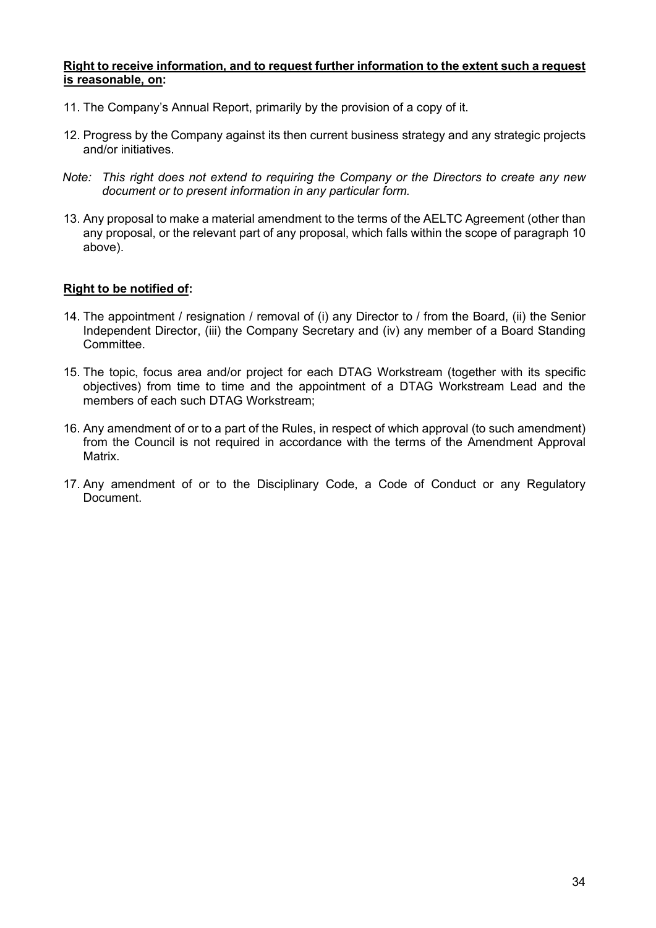#### Right to receive information, and to request further information to the extent such a request is reasonable, on:

- 11. The Company's Annual Report, primarily by the provision of a copy of it.
- 12. Progress by the Company against its then current business strategy and any strategic projects and/or initiatives.
- Note: This right does not extend to requiring the Company or the Directors to create any new document or to present information in any particular form.
- 13. Any proposal to make a material amendment to the terms of the AELTC Agreement (other than any proposal, or the relevant part of any proposal, which falls within the scope of paragraph 10 above).

# Right to be notified of:

- 14. The appointment / resignation / removal of (i) any Director to / from the Board, (ii) the Senior Independent Director, (iii) the Company Secretary and (iv) any member of a Board Standing Committee.
- 15. The topic, focus area and/or project for each DTAG Workstream (together with its specific objectives) from time to time and the appointment of a DTAG Workstream Lead and the members of each such DTAG Workstream;
- 16. Any amendment of or to a part of the Rules, in respect of which approval (to such amendment) from the Council is not required in accordance with the terms of the Amendment Approval Matrix.
- 17. Any amendment of or to the Disciplinary Code, a Code of Conduct or any Regulatory Document.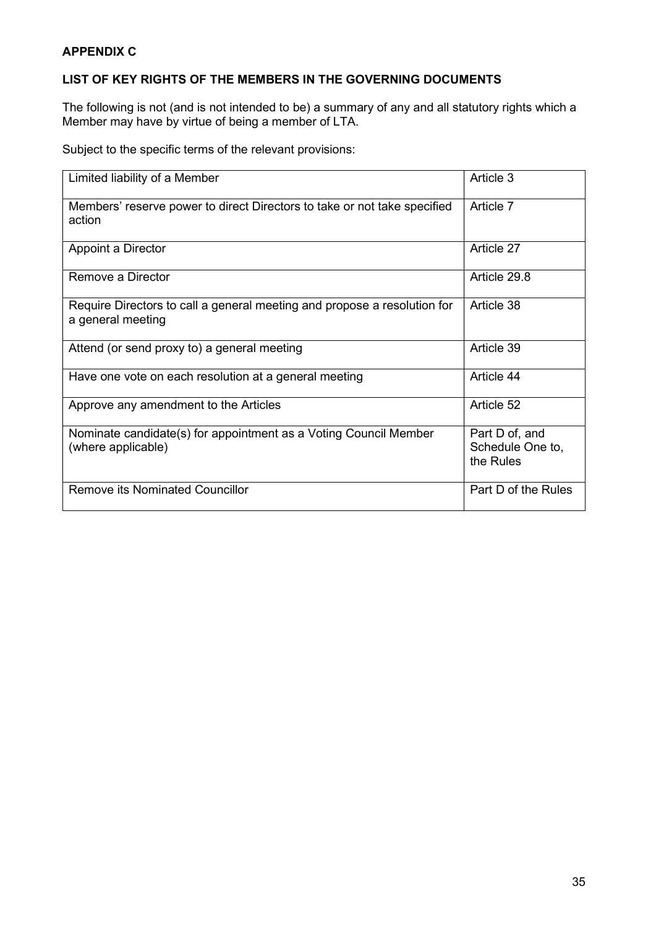# APPENDIX C

# LIST OF KEY RIGHTS OF THE MEMBERS IN THE GOVERNING DOCUMENTS

The following is not (and is not intended to be) a summary of any and all statutory rights which a Member may have by virtue of being a member of LTA.

Subject to the specific terms of the relevant provisions:

| Limited liability of a Member                                                                 | Article 3                                       |
|-----------------------------------------------------------------------------------------------|-------------------------------------------------|
| Members' reserve power to direct Directors to take or not take specified<br>action            | Article 7                                       |
| Appoint a Director                                                                            | Article 27                                      |
| Remove a Director                                                                             | Article 29.8                                    |
| Require Directors to call a general meeting and propose a resolution for<br>a general meeting | Article 38                                      |
| Attend (or send proxy to) a general meeting                                                   | Article 39                                      |
| Have one vote on each resolution at a general meeting                                         | Article 44                                      |
| Approve any amendment to the Articles                                                         | Article 52                                      |
| Nominate candidate(s) for appointment as a Voting Council Member<br>(where applicable)        | Part D of, and<br>Schedule One to,<br>the Rules |
| <b>Remove its Nominated Councillor</b>                                                        | Part D of the Rules                             |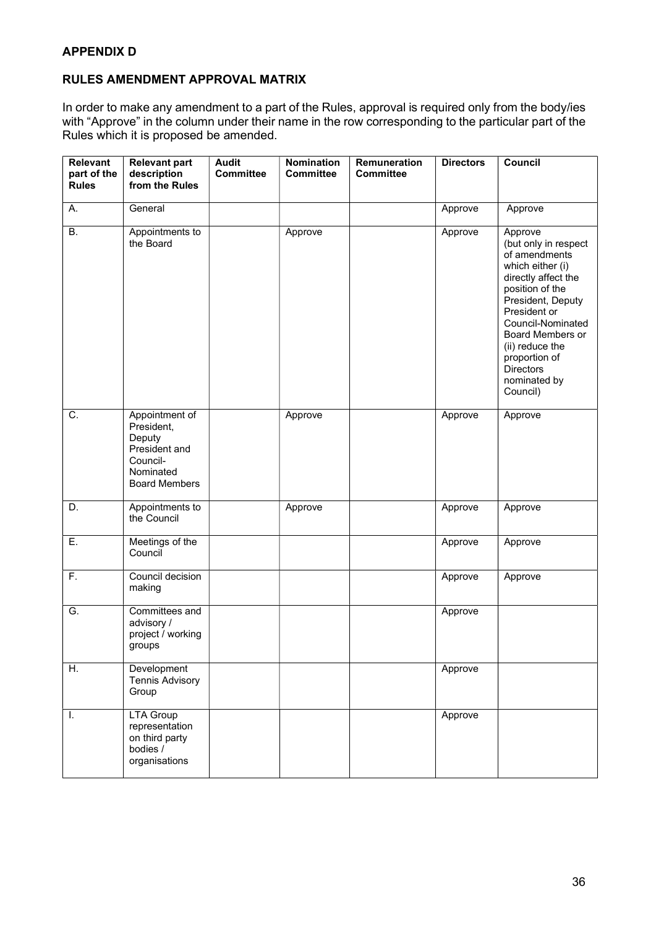# RULES AMENDMENT APPROVAL MATRIX

In order to make any amendment to a part of the Rules, approval is required only from the body/ies with "Approve" in the column under their name in the row corresponding to the particular part of the Rules which it is proposed be amended.

| Relevant<br>part of the<br><b>Rules</b> | <b>Relevant part</b><br>description<br>from the Rules                                                    | <b>Audit</b><br><b>Committee</b> | <b>Nomination</b><br><b>Committee</b> | Remuneration<br><b>Committee</b> | <b>Directors</b> | Council                                                                                                                                                                                                                                                                          |
|-----------------------------------------|----------------------------------------------------------------------------------------------------------|----------------------------------|---------------------------------------|----------------------------------|------------------|----------------------------------------------------------------------------------------------------------------------------------------------------------------------------------------------------------------------------------------------------------------------------------|
| Α.                                      | General                                                                                                  |                                  |                                       |                                  | Approve          | Approve                                                                                                                                                                                                                                                                          |
| В.                                      | Appointments to<br>the Board                                                                             |                                  | Approve                               |                                  | Approve          | Approve<br>(but only in respect<br>of amendments<br>which either (i)<br>directly affect the<br>position of the<br>President, Deputy<br>President or<br>Council-Nominated<br>Board Members or<br>(ii) reduce the<br>proportion of<br><b>Directors</b><br>nominated by<br>Council) |
| $\overline{C}$ .                        | Appointment of<br>President,<br>Deputy<br>President and<br>Council-<br>Nominated<br><b>Board Members</b> |                                  | Approve                               |                                  | Approve          | Approve                                                                                                                                                                                                                                                                          |
| D.                                      | Appointments to<br>the Council                                                                           |                                  | Approve                               |                                  | Approve          | Approve                                                                                                                                                                                                                                                                          |
| Ε.                                      | Meetings of the<br>Council                                                                               |                                  |                                       |                                  | Approve          | Approve                                                                                                                                                                                                                                                                          |
| F.                                      | Council decision<br>making                                                                               |                                  |                                       |                                  | Approve          | Approve                                                                                                                                                                                                                                                                          |
| G.                                      | Committees and<br>advisory /<br>project / working<br>groups                                              |                                  |                                       |                                  | Approve          |                                                                                                                                                                                                                                                                                  |
| Η.                                      | Development<br><b>Tennis Advisory</b><br>Group                                                           |                                  |                                       |                                  | Approve          |                                                                                                                                                                                                                                                                                  |
| I.                                      | <b>LTA Group</b><br>representation<br>on third party<br>bodies /<br>organisations                        |                                  |                                       |                                  | Approve          |                                                                                                                                                                                                                                                                                  |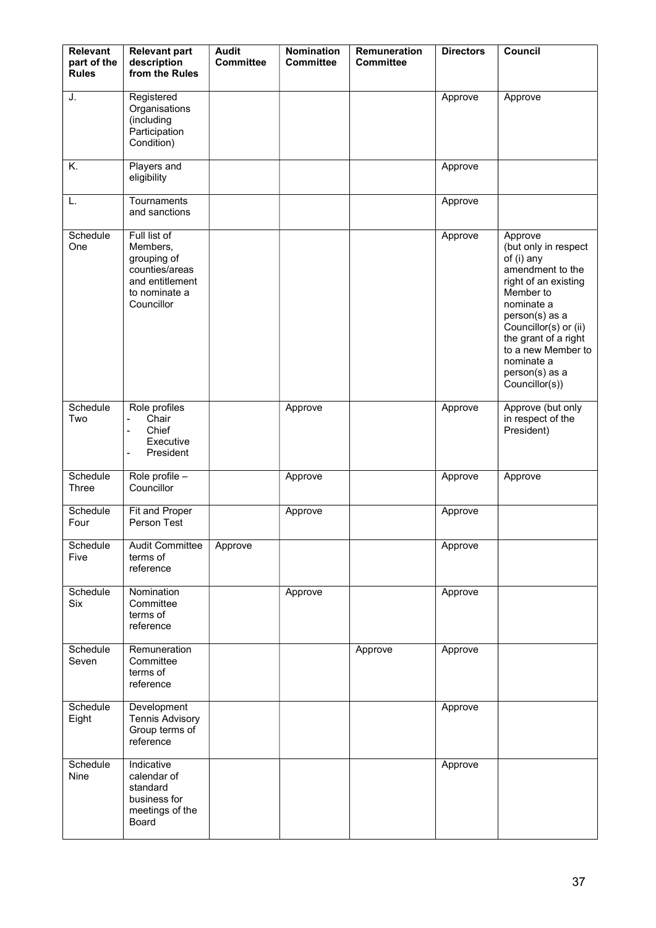| <b>Relevant</b><br>part of the<br><b>Rules</b> | <b>Relevant part</b><br>description<br>from the Rules                                                       | <b>Audit</b><br><b>Committee</b> | <b>Nomination</b><br><b>Committee</b> | Remuneration<br><b>Committee</b> | <b>Directors</b> | Council                                                                                                                                                                                                                                                         |
|------------------------------------------------|-------------------------------------------------------------------------------------------------------------|----------------------------------|---------------------------------------|----------------------------------|------------------|-----------------------------------------------------------------------------------------------------------------------------------------------------------------------------------------------------------------------------------------------------------------|
| J.                                             | Registered<br>Organisations<br>(including<br>Participation<br>Condition)                                    |                                  |                                       |                                  | Approve          | Approve                                                                                                                                                                                                                                                         |
| Κ.                                             | Players and<br>eligibility                                                                                  |                                  |                                       |                                  | Approve          |                                                                                                                                                                                                                                                                 |
| L.                                             | Tournaments<br>and sanctions                                                                                |                                  |                                       |                                  | Approve          |                                                                                                                                                                                                                                                                 |
| Schedule<br>One                                | Full list of<br>Members,<br>grouping of<br>counties/areas<br>and entitlement<br>to nominate a<br>Councillor |                                  |                                       |                                  | Approve          | Approve<br>(but only in respect<br>of (i) any<br>amendment to the<br>right of an existing<br>Member to<br>nominate a<br>person(s) as a<br>Councillor(s) or (ii)<br>the grant of a right<br>to a new Member to<br>nominate a<br>person(s) as a<br>Councillor(s)) |
| Schedule<br>Two                                | Role profiles<br>Chair<br>Chief<br>$\blacksquare$<br>Executive<br>President<br>$\overline{\phantom{a}}$     |                                  | Approve                               |                                  | Approve          | Approve (but only<br>in respect of the<br>President)                                                                                                                                                                                                            |
| Schedule<br>Three                              | Role profile -<br>Councillor                                                                                |                                  | Approve                               |                                  | Approve          | Approve                                                                                                                                                                                                                                                         |
| Schedule<br>Four                               | Fit and Proper<br>Person Test                                                                               |                                  | Approve                               |                                  | Approve          |                                                                                                                                                                                                                                                                 |
| Schedule<br>Five                               | <b>Audit Committee</b><br>terms of<br>reference                                                             | Approve                          |                                       |                                  | Approve          |                                                                                                                                                                                                                                                                 |
| Schedule<br><b>Six</b>                         | Nomination<br>Committee<br>terms of<br>reference                                                            |                                  | Approve                               |                                  | Approve          |                                                                                                                                                                                                                                                                 |
| Schedule<br>Seven                              | Remuneration<br>Committee<br>terms of<br>reference                                                          |                                  |                                       | Approve                          | Approve          |                                                                                                                                                                                                                                                                 |
| Schedule<br>Eight                              | Development<br><b>Tennis Advisory</b><br>Group terms of<br>reference                                        |                                  |                                       |                                  | Approve          |                                                                                                                                                                                                                                                                 |
| Schedule<br>Nine                               | Indicative<br>calendar of<br>standard<br>business for<br>meetings of the<br>Board                           |                                  |                                       |                                  | Approve          |                                                                                                                                                                                                                                                                 |